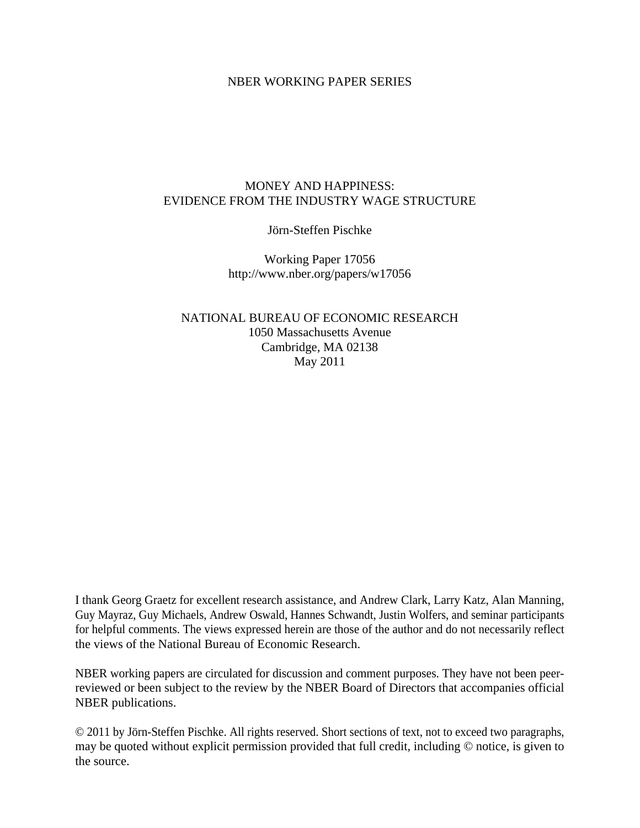### NBER WORKING PAPER SERIES

## MONEY AND HAPPINESS: EVIDENCE FROM THE INDUSTRY WAGE STRUCTURE

Jörn-Steffen Pischke

Working Paper 17056 http://www.nber.org/papers/w17056

NATIONAL BUREAU OF ECONOMIC RESEARCH 1050 Massachusetts Avenue Cambridge, MA 02138 May 2011

I thank Georg Graetz for excellent research assistance, and Andrew Clark, Larry Katz, Alan Manning, Guy Mayraz, Guy Michaels, Andrew Oswald, Hannes Schwandt, Justin Wolfers, and seminar participants for helpful comments. The views expressed herein are those of the author and do not necessarily reflect the views of the National Bureau of Economic Research.

NBER working papers are circulated for discussion and comment purposes. They have not been peerreviewed or been subject to the review by the NBER Board of Directors that accompanies official NBER publications.

© 2011 by Jörn-Steffen Pischke. All rights reserved. Short sections of text, not to exceed two paragraphs, may be quoted without explicit permission provided that full credit, including © notice, is given to the source.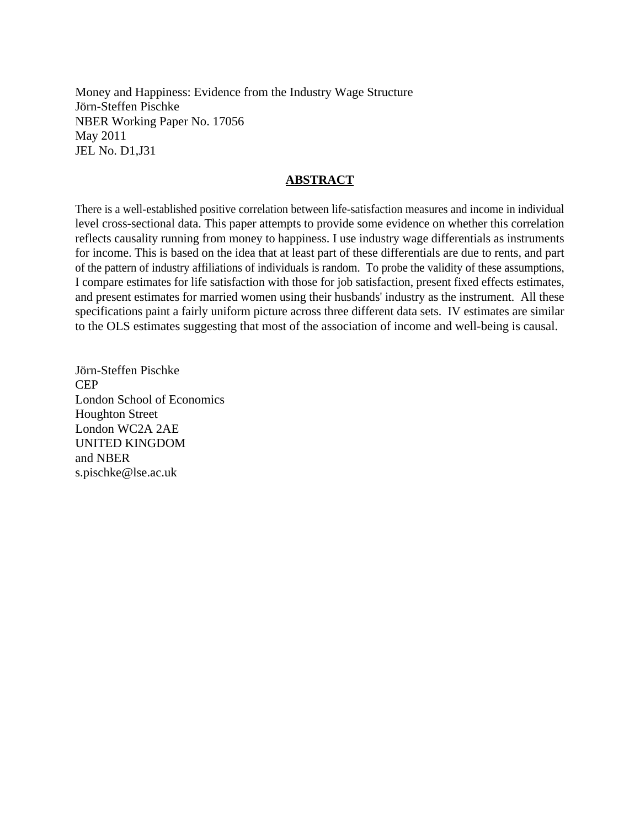Money and Happiness: Evidence from the Industry Wage Structure Jörn-Steffen Pischke NBER Working Paper No. 17056 May 2011 JEL No. D1,J31

## **ABSTRACT**

There is a well-established positive correlation between life-satisfaction measures and income in individual level cross-sectional data. This paper attempts to provide some evidence on whether this correlation reflects causality running from money to happiness. I use industry wage differentials as instruments for income. This is based on the idea that at least part of these differentials are due to rents, and part of the pattern of industry affiliations of individuals is random. To probe the validity of these assumptions, I compare estimates for life satisfaction with those for job satisfaction, present fixed effects estimates, and present estimates for married women using their husbands' industry as the instrument. All these specifications paint a fairly uniform picture across three different data sets. IV estimates are similar to the OLS estimates suggesting that most of the association of income and well-being is causal.

Jörn-Steffen Pischke CEP London School of Economics Houghton Street London WC2A 2AE UNITED KINGDOM and NBER s.pischke@lse.ac.uk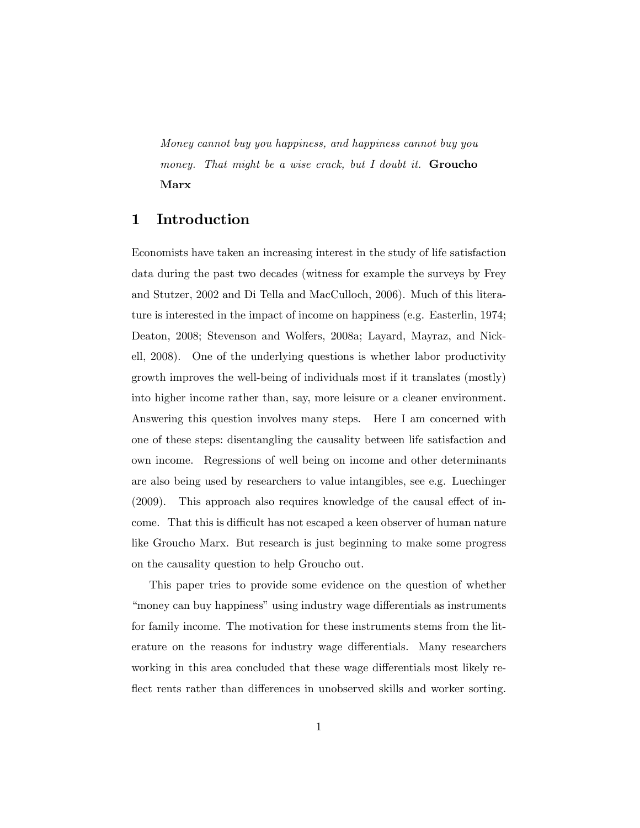Money cannot buy you happiness, and happiness cannot buy you money. That might be a wise crack, but I doubt it. **Groucho** Marx

## 1 Introduction

Economists have taken an increasing interest in the study of life satisfaction data during the past two decades (witness for example the surveys by Frey and Stutzer, 2002 and Di Tella and MacCulloch, 2006). Much of this literature is interested in the impact of income on happiness (e.g. Easterlin, 1974; Deaton, 2008; Stevenson and Wolfers, 2008a; Layard, Mayraz, and Nickell, 2008). One of the underlying questions is whether labor productivity growth improves the well-being of individuals most if it translates (mostly) into higher income rather than, say, more leisure or a cleaner environment. Answering this question involves many steps. Here I am concerned with one of these steps: disentangling the causality between life satisfaction and own income. Regressions of well being on income and other determinants are also being used by researchers to value intangibles, see e.g. Luechinger  $(2009)$ . This approach also requires knowledge of the causal effect of income. That this is difficult has not escaped a keen observer of human nature like Groucho Marx. But research is just beginning to make some progress on the causality question to help Groucho out.

This paper tries to provide some evidence on the question of whether "money can buy happiness" using industry wage differentials as instruments for family income. The motivation for these instruments stems from the literature on the reasons for industry wage differentials. Many researchers working in this area concluded that these wage differentials most likely reflect rents rather than differences in unobserved skills and worker sorting.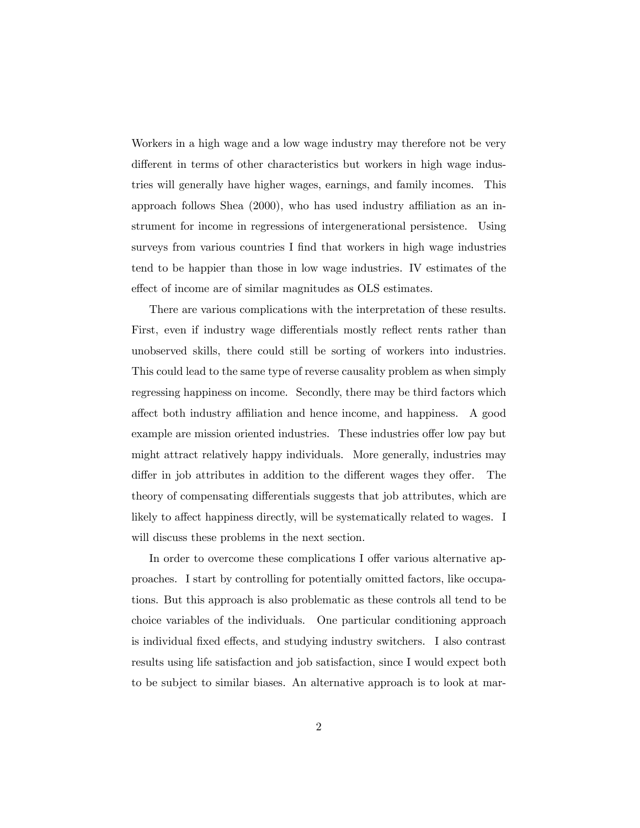Workers in a high wage and a low wage industry may therefore not be very different in terms of other characteristics but workers in high wage industries will generally have higher wages, earnings, and family incomes. This approach follows Shea  $(2000)$ , who has used industry affiliation as an instrument for income in regressions of intergenerational persistence. Using surveys from various countries I find that workers in high wage industries tend to be happier than those in low wage industries. IV estimates of the effect of income are of similar magnitudes as OLS estimates.

There are various complications with the interpretation of these results. First, even if industry wage differentials mostly reflect rents rather than unobserved skills, there could still be sorting of workers into industries. This could lead to the same type of reverse causality problem as when simply regressing happiness on income. Secondly, there may be third factors which affect both industry affiliation and hence income, and happiness. A good example are mission oriented industries. These industries offer low pay but might attract relatively happy individuals. More generally, industries may differ in job attributes in addition to the different wages they offer. The theory of compensating differentials suggests that job attributes, which are likely to affect happiness directly, will be systematically related to wages. I will discuss these problems in the next section.

In order to overcome these complications I offer various alternative approaches. I start by controlling for potentially omitted factors, like occupations. But this approach is also problematic as these controls all tend to be choice variables of the individuals. One particular conditioning approach is individual fixed effects, and studying industry switchers. I also contrast results using life satisfaction and job satisfaction, since I would expect both to be subject to similar biases. An alternative approach is to look at mar-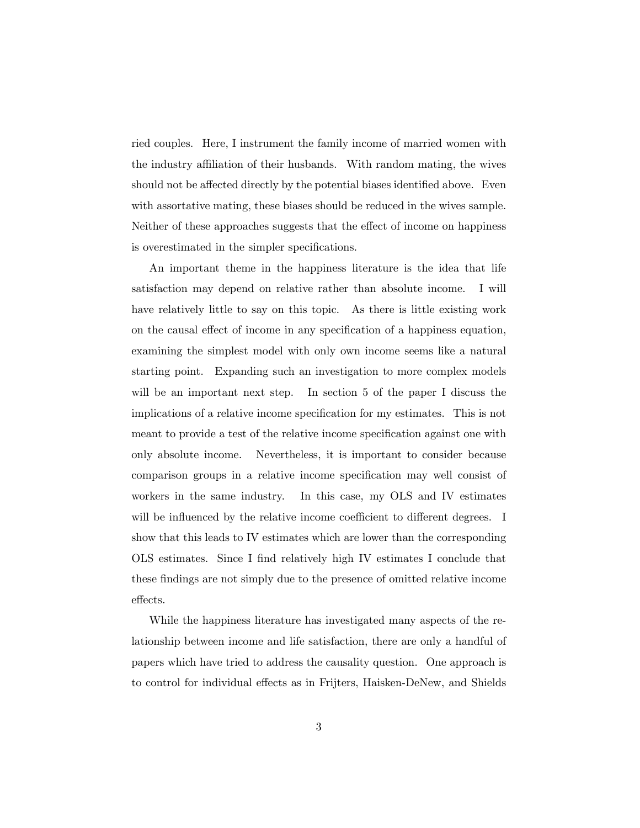ried couples. Here, I instrument the family income of married women with the industry affiliation of their husbands. With random mating, the wives should not be affected directly by the potential biases identified above. Even with assortative mating, these biases should be reduced in the wives sample. Neither of these approaches suggests that the effect of income on happiness is overestimated in the simpler specifications.

An important theme in the happiness literature is the idea that life satisfaction may depend on relative rather than absolute income. I will have relatively little to say on this topic. As there is little existing work on the causal effect of income in any specification of a happiness equation, examining the simplest model with only own income seems like a natural starting point. Expanding such an investigation to more complex models will be an important next step. In section 5 of the paper I discuss the implications of a relative income specification for my estimates. This is not meant to provide a test of the relative income specification against one with only absolute income. Nevertheless, it is important to consider because comparison groups in a relative income specification may well consist of workers in the same industry. In this case, my OLS and IV estimates will be influenced by the relative income coefficient to different degrees. I show that this leads to IV estimates which are lower than the corresponding OLS estimates. Since I Önd relatively high IV estimates I conclude that these findings are not simply due to the presence of omitted relative income effects.

While the happiness literature has investigated many aspects of the relationship between income and life satisfaction, there are only a handful of papers which have tried to address the causality question. One approach is to control for individual effects as in Frijters, Haisken-DeNew, and Shields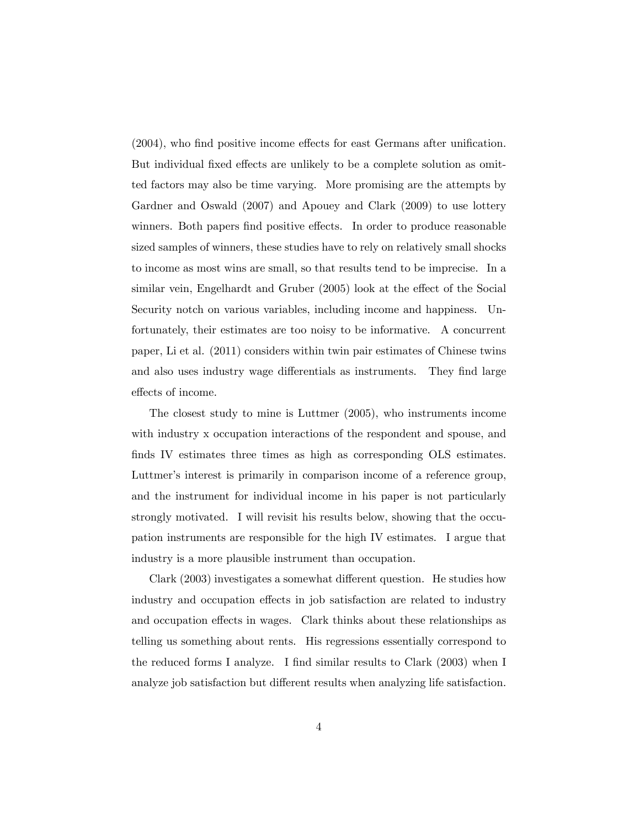$(2004)$ , who find positive income effects for east Germans after unification. But individual fixed effects are unlikely to be a complete solution as omitted factors may also be time varying. More promising are the attempts by Gardner and Oswald (2007) and Apouey and Clark (2009) to use lottery winners. Both papers find positive effects. In order to produce reasonable sized samples of winners, these studies have to rely on relatively small shocks to income as most wins are small, so that results tend to be imprecise. In a similar vein, Engelhardt and Gruber  $(2005)$  look at the effect of the Social Security notch on various variables, including income and happiness. Unfortunately, their estimates are too noisy to be informative. A concurrent paper, Li et al. (2011) considers within twin pair estimates of Chinese twins and also uses industry wage differentials as instruments. They find large effects of income.

The closest study to mine is Luttmer (2005), who instruments income with industry x occupation interactions of the respondent and spouse, and finds IV estimates three times as high as corresponding OLS estimates. Luttmer's interest is primarily in comparison income of a reference group, and the instrument for individual income in his paper is not particularly strongly motivated. I will revisit his results below, showing that the occupation instruments are responsible for the high IV estimates. I argue that industry is a more plausible instrument than occupation.

Clark (2003) investigates a somewhat different question. He studies how industry and occupation effects in job satisfaction are related to industry and occupation effects in wages. Clark thinks about these relationships as telling us something about rents. His regressions essentially correspond to the reduced forms I analyze. I find similar results to Clark (2003) when I analyze job satisfaction but different results when analyzing life satisfaction.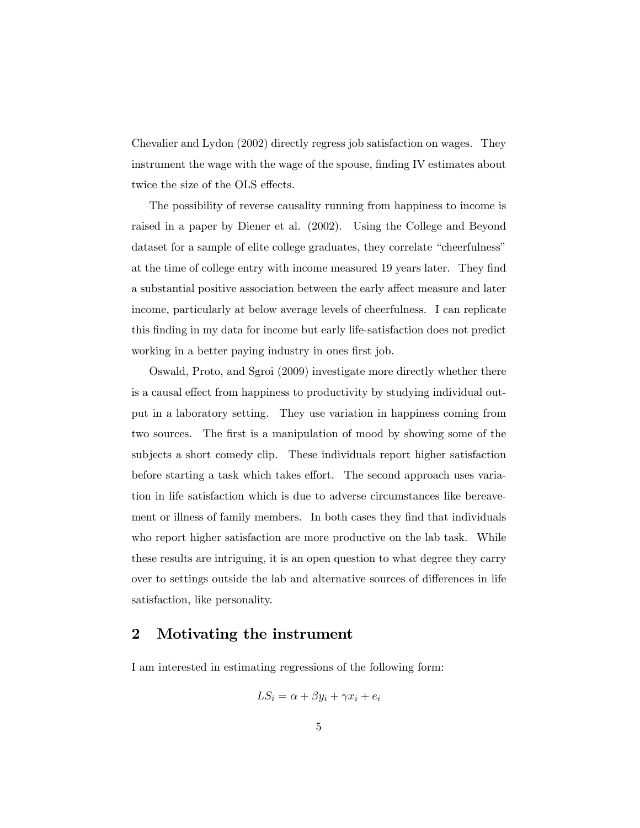Chevalier and Lydon (2002) directly regress job satisfaction on wages. They instrument the wage with the wage of the spouse, finding IV estimates about twice the size of the OLS effects.

The possibility of reverse causality running from happiness to income is raised in a paper by Diener et al. (2002). Using the College and Beyond dataset for a sample of elite college graduates, they correlate "cheerfulness" at the time of college entry with income measured 19 years later. They find a substantial positive association between the early affect measure and later income, particularly at below average levels of cheerfulness. I can replicate this Önding in my data for income but early life-satisfaction does not predict working in a better paying industry in ones first job.

Oswald, Proto, and Sgroi (2009) investigate more directly whether there is a causal effect from happiness to productivity by studying individual output in a laboratory setting. They use variation in happiness coming from two sources. The first is a manipulation of mood by showing some of the subjects a short comedy clip. These individuals report higher satisfaction before starting a task which takes effort. The second approach uses variation in life satisfaction which is due to adverse circumstances like bereavement or illness of family members. In both cases they find that individuals who report higher satisfaction are more productive on the lab task. While these results are intriguing, it is an open question to what degree they carry over to settings outside the lab and alternative sources of differences in life satisfaction, like personality.

## 2 Motivating the instrument

I am interested in estimating regressions of the following form:

$$
LS_i = \alpha + \beta y_i + \gamma x_i + e_i
$$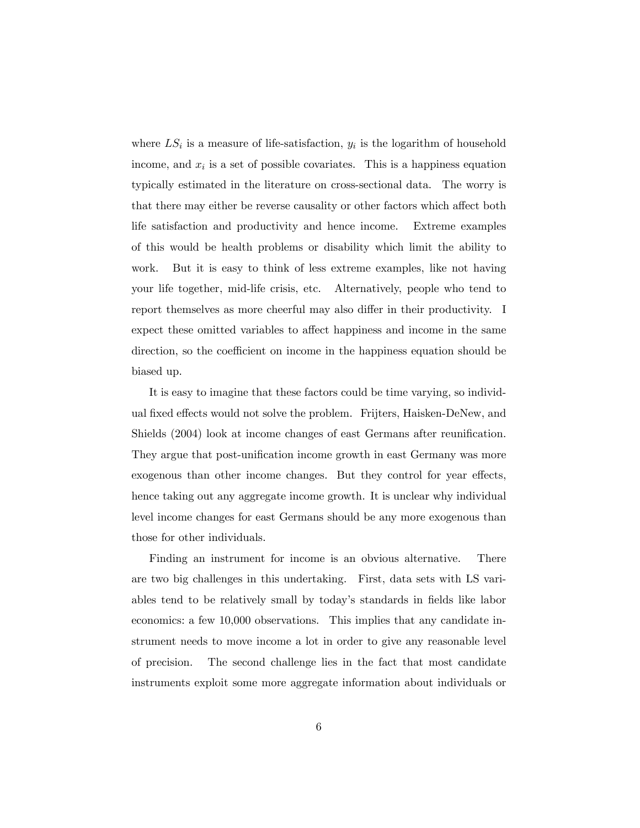where  $LS_i$  is a measure of life-satisfaction,  $y_i$  is the logarithm of household income, and  $x_i$  is a set of possible covariates. This is a happiness equation typically estimated in the literature on cross-sectional data. The worry is that there may either be reverse causality or other factors which affect both life satisfaction and productivity and hence income. Extreme examples of this would be health problems or disability which limit the ability to work. But it is easy to think of less extreme examples, like not having your life together, mid-life crisis, etc. Alternatively, people who tend to report themselves as more cheerful may also differ in their productivity. I expect these omitted variables to affect happiness and income in the same direction, so the coefficient on income in the happiness equation should be biased up.

It is easy to imagine that these factors could be time varying, so individual fixed effects would not solve the problem. Frijters, Haisken-DeNew, and Shields (2004) look at income changes of east Germans after reunification. They argue that post-unification income growth in east Germany was more exogenous than other income changes. But they control for year effects, hence taking out any aggregate income growth. It is unclear why individual level income changes for east Germans should be any more exogenous than those for other individuals.

Finding an instrument for income is an obvious alternative. There are two big challenges in this undertaking. First, data sets with LS variables tend to be relatively small by today's standards in fields like labor economics: a few 10,000 observations. This implies that any candidate instrument needs to move income a lot in order to give any reasonable level of precision. The second challenge lies in the fact that most candidate instruments exploit some more aggregate information about individuals or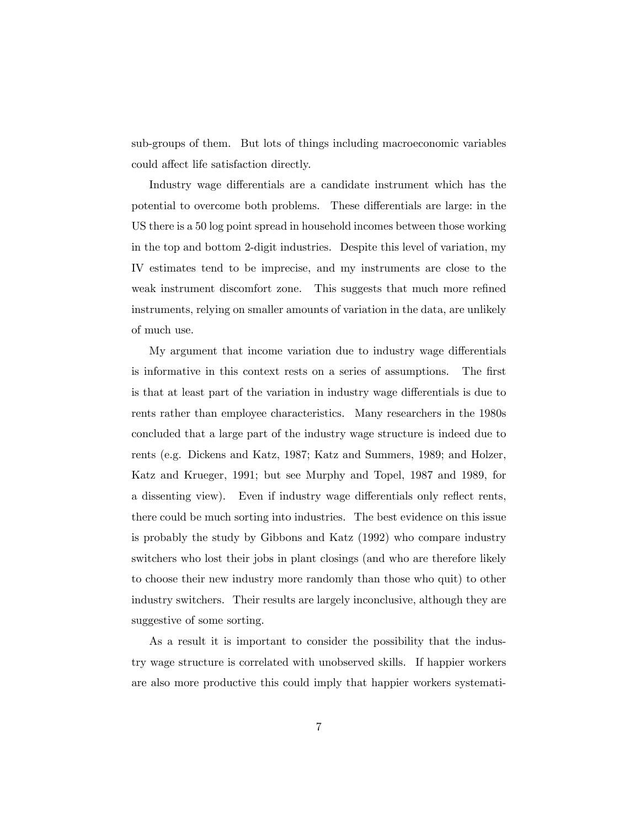sub-groups of them. But lots of things including macroeconomic variables could affect life satisfaction directly.

Industry wage differentials are a candidate instrument which has the potential to overcome both problems. These differentials are large: in the US there is a 50 log point spread in household incomes between those working in the top and bottom 2-digit industries. Despite this level of variation, my IV estimates tend to be imprecise, and my instruments are close to the weak instrument discomfort zone. This suggests that much more refined instruments, relying on smaller amounts of variation in the data, are unlikely of much use.

My argument that income variation due to industry wage differentials is informative in this context rests on a series of assumptions. The first is that at least part of the variation in industry wage differentials is due to rents rather than employee characteristics. Many researchers in the 1980s concluded that a large part of the industry wage structure is indeed due to rents (e.g. Dickens and Katz, 1987; Katz and Summers, 1989; and Holzer, Katz and Krueger, 1991; but see Murphy and Topel, 1987 and 1989, for a dissenting view). Even if industry wage differentials only reflect rents, there could be much sorting into industries. The best evidence on this issue is probably the study by Gibbons and Katz (1992) who compare industry switchers who lost their jobs in plant closings (and who are therefore likely to choose their new industry more randomly than those who quit) to other industry switchers. Their results are largely inconclusive, although they are suggestive of some sorting.

As a result it is important to consider the possibility that the industry wage structure is correlated with unobserved skills. If happier workers are also more productive this could imply that happier workers systemati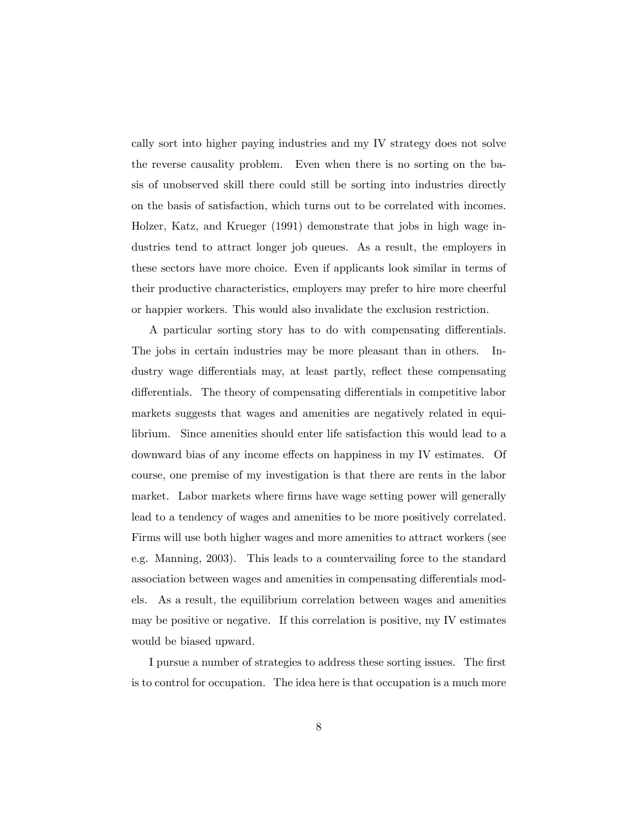cally sort into higher paying industries and my IV strategy does not solve the reverse causality problem. Even when there is no sorting on the basis of unobserved skill there could still be sorting into industries directly on the basis of satisfaction, which turns out to be correlated with incomes. Holzer, Katz, and Krueger (1991) demonstrate that jobs in high wage industries tend to attract longer job queues. As a result, the employers in these sectors have more choice. Even if applicants look similar in terms of their productive characteristics, employers may prefer to hire more cheerful or happier workers. This would also invalidate the exclusion restriction.

A particular sorting story has to do with compensating differentials. The jobs in certain industries may be more pleasant than in others. Industry wage differentials may, at least partly, reflect these compensating differentials. The theory of compensating differentials in competitive labor markets suggests that wages and amenities are negatively related in equilibrium. Since amenities should enter life satisfaction this would lead to a downward bias of any income effects on happiness in my IV estimates. Of course, one premise of my investigation is that there are rents in the labor market. Labor markets where firms have wage setting power will generally lead to a tendency of wages and amenities to be more positively correlated. Firms will use both higher wages and more amenities to attract workers (see e.g. Manning, 2003). This leads to a countervailing force to the standard association between wages and amenities in compensating differentials models. As a result, the equilibrium correlation between wages and amenities may be positive or negative. If this correlation is positive, my IV estimates would be biased upward.

I pursue a number of strategies to address these sorting issues. The first is to control for occupation. The idea here is that occupation is a much more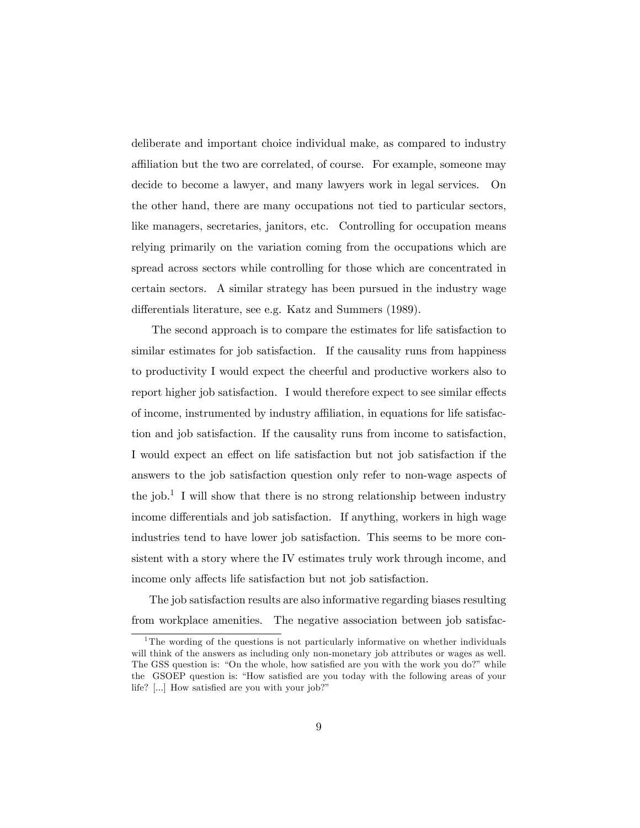deliberate and important choice individual make, as compared to industry affiliation but the two are correlated, of course. For example, someone may decide to become a lawyer, and many lawyers work in legal services. On the other hand, there are many occupations not tied to particular sectors, like managers, secretaries, janitors, etc. Controlling for occupation means relying primarily on the variation coming from the occupations which are spread across sectors while controlling for those which are concentrated in certain sectors. A similar strategy has been pursued in the industry wage differentials literature, see e.g. Katz and Summers (1989).

The second approach is to compare the estimates for life satisfaction to similar estimates for job satisfaction. If the causality runs from happiness to productivity I would expect the cheerful and productive workers also to report higher job satisfaction. I would therefore expect to see similar effects of income, instrumented by industry affiliation, in equations for life satisfaction and job satisfaction. If the causality runs from income to satisfaction, I would expect an effect on life satisfaction but not job satisfaction if the answers to the job satisfaction question only refer to non-wage aspects of the job.<sup>1</sup> I will show that there is no strong relationship between industry income differentials and job satisfaction. If anything, workers in high wage industries tend to have lower job satisfaction. This seems to be more consistent with a story where the IV estimates truly work through income, and income only affects life satisfaction but not job satisfaction.

The job satisfaction results are also informative regarding biases resulting from workplace amenities. The negative association between job satisfac-

<sup>&</sup>lt;sup>1</sup>The wording of the questions is not particularly informative on whether individuals will think of the answers as including only non-monetary job attributes or wages as well. The GSS question is: "On the whole, how satisfied are you with the work you do?" while the GSOEP question is: "How satisfied are you today with the following areas of your life?  $[...]$  How satisfied are you with your job?"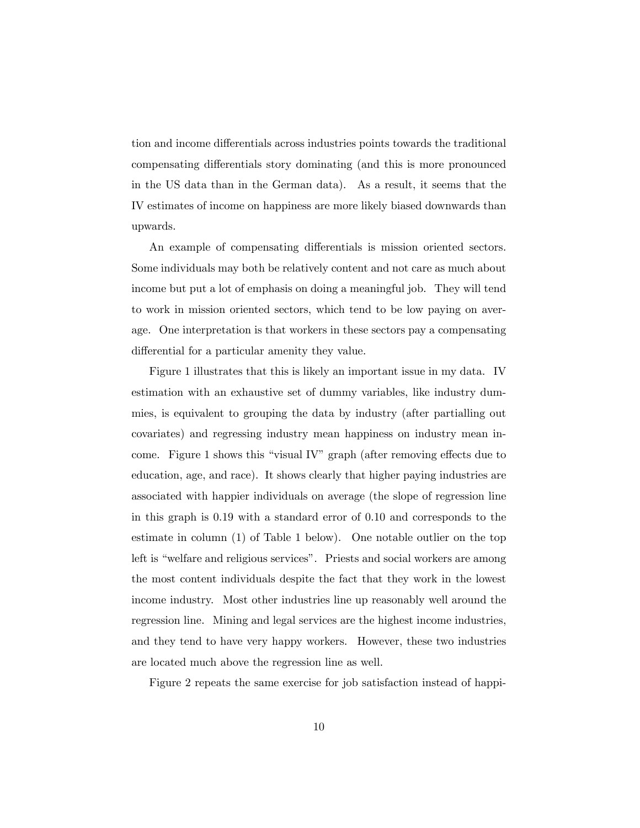tion and income differentials across industries points towards the traditional compensating differentials story dominating (and this is more pronounced in the US data than in the German data). As a result, it seems that the IV estimates of income on happiness are more likely biased downwards than upwards.

An example of compensating differentials is mission oriented sectors. Some individuals may both be relatively content and not care as much about income but put a lot of emphasis on doing a meaningful job. They will tend to work in mission oriented sectors, which tend to be low paying on average. One interpretation is that workers in these sectors pay a compensating differential for a particular amenity they value.

Figure 1 illustrates that this is likely an important issue in my data. IV estimation with an exhaustive set of dummy variables, like industry dummies, is equivalent to grouping the data by industry (after partialling out covariates) and regressing industry mean happiness on industry mean income. Figure 1 shows this "visual IV" graph (after removing effects due to education, age, and race). It shows clearly that higher paying industries are associated with happier individuals on average (the slope of regression line in this graph is 0.19 with a standard error of 0.10 and corresponds to the estimate in column (1) of Table 1 below). One notable outlier on the top left is "welfare and religious services". Priests and social workers are among the most content individuals despite the fact that they work in the lowest income industry. Most other industries line up reasonably well around the regression line. Mining and legal services are the highest income industries, and they tend to have very happy workers. However, these two industries are located much above the regression line as well.

Figure 2 repeats the same exercise for job satisfaction instead of happi-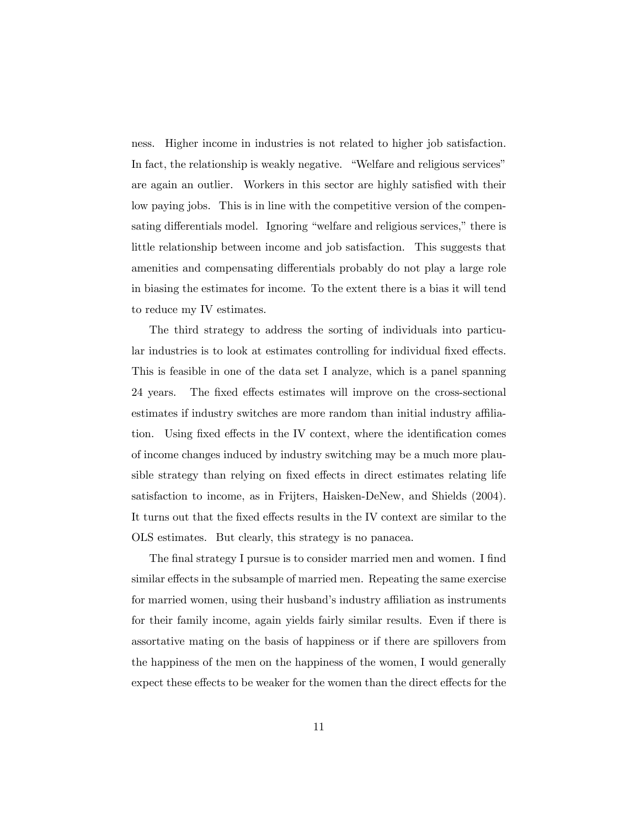ness. Higher income in industries is not related to higher job satisfaction. In fact, the relationship is weakly negative. "Welfare and religious services" are again an outlier. Workers in this sector are highly satisfied with their low paying jobs. This is in line with the competitive version of the compensating differentials model. Ignoring "welfare and religious services," there is little relationship between income and job satisfaction. This suggests that amenities and compensating differentials probably do not play a large role in biasing the estimates for income. To the extent there is a bias it will tend to reduce my IV estimates.

The third strategy to address the sorting of individuals into particular industries is to look at estimates controlling for individual fixed effects. This is feasible in one of the data set I analyze, which is a panel spanning 24 years. The fixed effects estimates will improve on the cross-sectional estimates if industry switches are more random than initial industry affiliation. Using fixed effects in the IV context, where the identification comes of income changes induced by industry switching may be a much more plausible strategy than relying on fixed effects in direct estimates relating life satisfaction to income, as in Frijters, Haisken-DeNew, and Shields (2004). It turns out that the fixed effects results in the IV context are similar to the OLS estimates. But clearly, this strategy is no panacea.

The final strategy I pursue is to consider married men and women. I find similar effects in the subsample of married men. Repeating the same exercise for married women, using their husband's industry affiliation as instruments for their family income, again yields fairly similar results. Even if there is assortative mating on the basis of happiness or if there are spillovers from the happiness of the men on the happiness of the women, I would generally expect these effects to be weaker for the women than the direct effects for the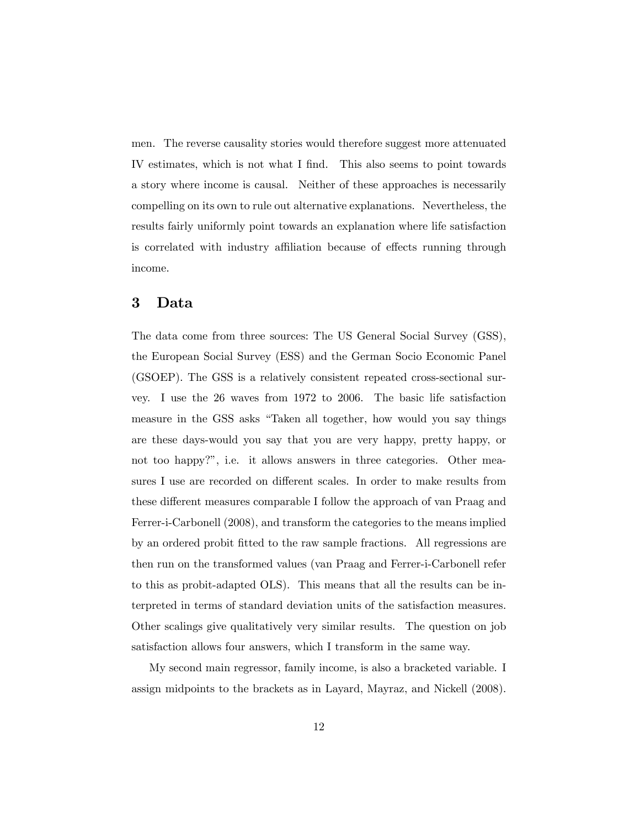men. The reverse causality stories would therefore suggest more attenuated IV estimates, which is not what I find. This also seems to point towards a story where income is causal. Neither of these approaches is necessarily compelling on its own to rule out alternative explanations. Nevertheless, the results fairly uniformly point towards an explanation where life satisfaction is correlated with industry affiliation because of effects running through income.

## 3 Data

The data come from three sources: The US General Social Survey (GSS), the European Social Survey (ESS) and the German Socio Economic Panel (GSOEP). The GSS is a relatively consistent repeated cross-sectional survey. I use the 26 waves from 1972 to 2006. The basic life satisfaction measure in the GSS asks "Taken all together, how would you say things are these days-would you say that you are very happy, pretty happy, or not too happy?", i.e. it allows answers in three categories. Other measures I use are recorded on different scales. In order to make results from these different measures comparable I follow the approach of van Praag and Ferrer-i-Carbonell (2008), and transform the categories to the means implied by an ordered probit Ötted to the raw sample fractions. All regressions are then run on the transformed values (van Praag and Ferrer-i-Carbonell refer to this as probit-adapted OLS). This means that all the results can be interpreted in terms of standard deviation units of the satisfaction measures. Other scalings give qualitatively very similar results. The question on job satisfaction allows four answers, which I transform in the same way.

My second main regressor, family income, is also a bracketed variable. I assign midpoints to the brackets as in Layard, Mayraz, and Nickell (2008).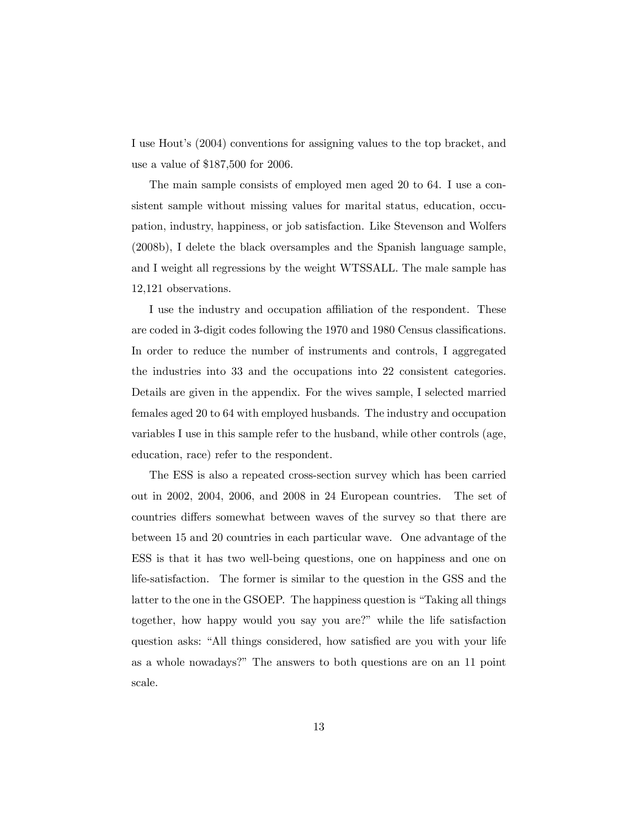I use Hout's (2004) conventions for assigning values to the top bracket, and use a value of \$187,500 for 2006.

The main sample consists of employed men aged 20 to 64. I use a consistent sample without missing values for marital status, education, occupation, industry, happiness, or job satisfaction. Like Stevenson and Wolfers (2008b), I delete the black oversamples and the Spanish language sample, and I weight all regressions by the weight WTSSALL. The male sample has 12,121 observations.

I use the industry and occupation affiliation of the respondent. These are coded in 3-digit codes following the 1970 and 1980 Census classifications. In order to reduce the number of instruments and controls, I aggregated the industries into 33 and the occupations into 22 consistent categories. Details are given in the appendix. For the wives sample, I selected married females aged 20 to 64 with employed husbands. The industry and occupation variables I use in this sample refer to the husband, while other controls (age, education, race) refer to the respondent.

The ESS is also a repeated cross-section survey which has been carried out in 2002, 2004, 2006, and 2008 in 24 European countries. The set of countries differs somewhat between waves of the survey so that there are between 15 and 20 countries in each particular wave. One advantage of the ESS is that it has two well-being questions, one on happiness and one on life-satisfaction. The former is similar to the question in the GSS and the latter to the one in the GSOEP. The happiness question is "Taking all things together, how happy would you say you are?" while the life satisfaction question asks: "All things considered, how satisfied are you with your life as a whole nowadays?" The answers to both questions are on an 11 point scale.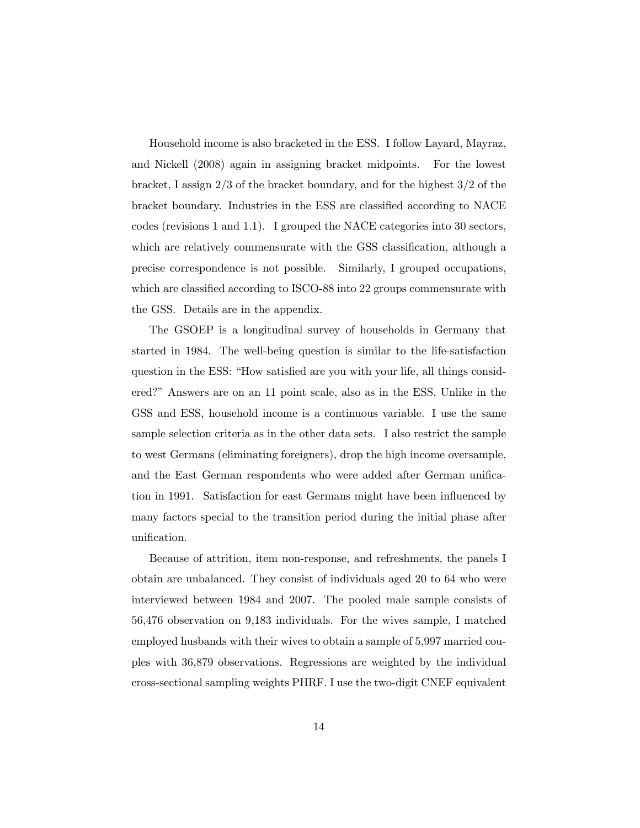Household income is also bracketed in the ESS. I follow Layard, Mayraz, and Nickell (2008) again in assigning bracket midpoints. For the lowest bracket, I assign 2/3 of the bracket boundary, and for the highest 3/2 of the bracket boundary. Industries in the ESS are classified according to NACE codes (revisions 1 and 1.1). I grouped the NACE categories into 30 sectors, which are relatively commensurate with the GSS classification, although a precise correspondence is not possible. Similarly, I grouped occupations, which are classified according to ISCO-88 into 22 groups commensurate with the GSS. Details are in the appendix.

The GSOEP is a longitudinal survey of households in Germany that started in 1984. The well-being question is similar to the life-satisfaction question in the ESS: "How satisfied are you with your life, all things considered?î Answers are on an 11 point scale, also as in the ESS. Unlike in the GSS and ESS, household income is a continuous variable. I use the same sample selection criteria as in the other data sets. I also restrict the sample to west Germans (eliminating foreigners), drop the high income oversample, and the East German respondents who were added after German unification in 1991. Satisfaction for east Germans might have been influenced by many factors special to the transition period during the initial phase after unification.

Because of attrition, item non-response, and refreshments, the panels I obtain are unbalanced. They consist of individuals aged 20 to 64 who were interviewed between 1984 and 2007. The pooled male sample consists of 56,476 observation on 9,183 individuals. For the wives sample, I matched employed husbands with their wives to obtain a sample of 5,997 married couples with 36,879 observations. Regressions are weighted by the individual cross-sectional sampling weights PHRF. I use the two-digit CNEF equivalent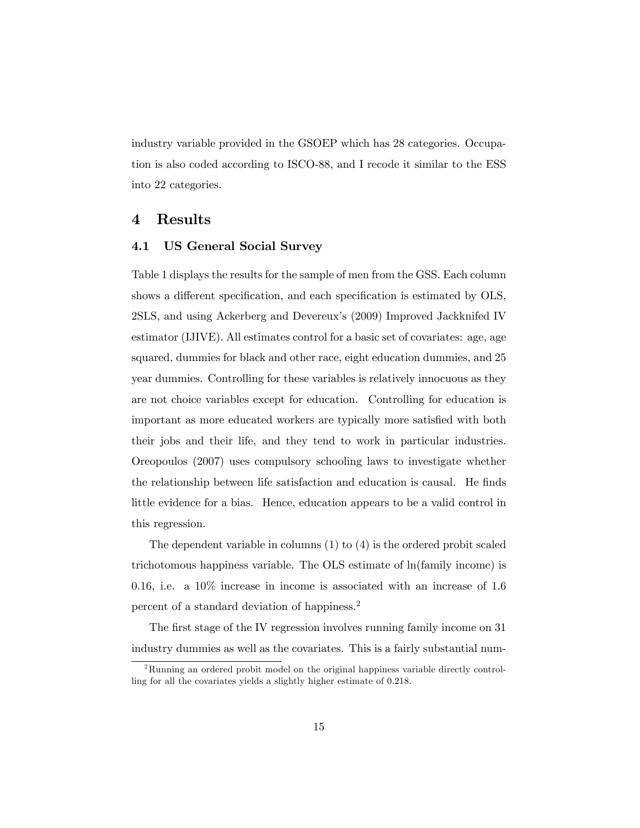industry variable provided in the GSOEP which has 28 categories. Occupation is also coded according to ISCO-88, and I recode it similar to the ESS into 22 categories.

### 4 Results

### 4.1 US General Social Survey

Table 1 displays the results for the sample of men from the GSS. Each column shows a different specification, and each specification is estimated by OLS, 2SLS, and using Ackerberg and Devereux's (2009) Improved Jackknifed IV estimator (IJIVE). All estimates control for a basic set of covariates: age, age squared, dummies for black and other race, eight education dummies, and 25 year dummies. Controlling for these variables is relatively innocuous as they are not choice variables except for education. Controlling for education is important as more educated workers are typically more satisfied with both their jobs and their life, and they tend to work in particular industries. Oreopoulos (2007) uses compulsory schooling laws to investigate whether the relationship between life satisfaction and education is causal. He Önds little evidence for a bias. Hence, education appears to be a valid control in this regression.

The dependent variable in columns (1) to (4) is the ordered probit scaled trichotomous happiness variable. The OLS estimate of ln(family income) is 0.16, i.e. a  $10\%$  increase in income is associated with an increase of 1.6 percent of a standard deviation of happiness.<sup>2</sup>

The first stage of the IV regression involves running family income on 31 industry dummies as well as the covariates. This is a fairly substantial num-

 $2R$ unning an ordered probit model on the original happiness variable directly controlling for all the covariates yields a slightly higher estimate of 0.218.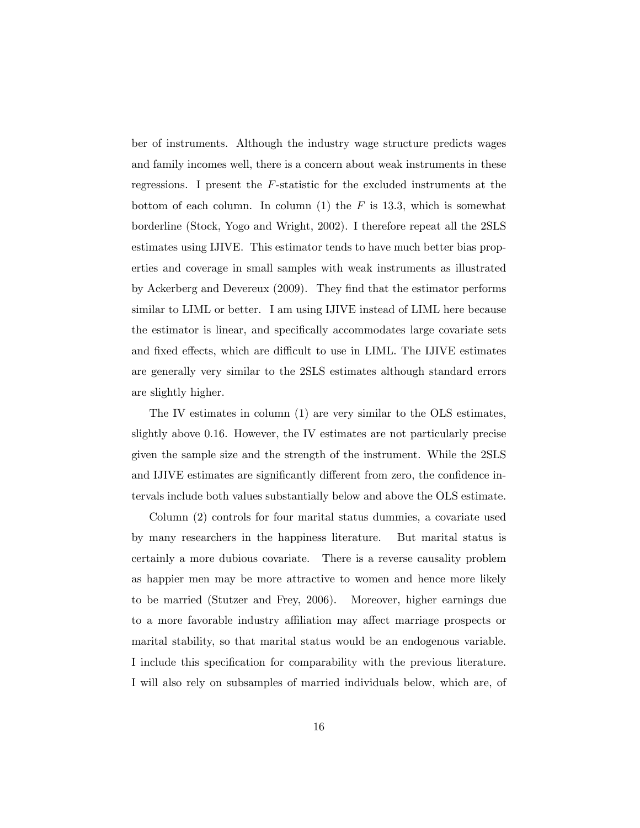ber of instruments. Although the industry wage structure predicts wages and family incomes well, there is a concern about weak instruments in these regressions. I present the F-statistic for the excluded instruments at the bottom of each column. In column  $(1)$  the F is 13.3, which is somewhat borderline (Stock, Yogo and Wright, 2002). I therefore repeat all the 2SLS estimates using IJIVE. This estimator tends to have much better bias properties and coverage in small samples with weak instruments as illustrated by Ackerberg and Devereux  $(2009)$ . They find that the estimator performs similar to LIML or better. I am using IJIVE instead of LIML here because the estimator is linear, and specifically accommodates large covariate sets and fixed effects, which are difficult to use in LIML. The IJIVE estimates are generally very similar to the 2SLS estimates although standard errors are slightly higher.

The IV estimates in column (1) are very similar to the OLS estimates, slightly above 0.16. However, the IV estimates are not particularly precise given the sample size and the strength of the instrument. While the 2SLS and IJIVE estimates are significantly different from zero, the confidence intervals include both values substantially below and above the OLS estimate.

Column (2) controls for four marital status dummies, a covariate used by many researchers in the happiness literature. But marital status is certainly a more dubious covariate. There is a reverse causality problem as happier men may be more attractive to women and hence more likely to be married (Stutzer and Frey, 2006). Moreover, higher earnings due to a more favorable industry affiliation may affect marriage prospects or marital stability, so that marital status would be an endogenous variable. I include this specification for comparability with the previous literature. I will also rely on subsamples of married individuals below, which are, of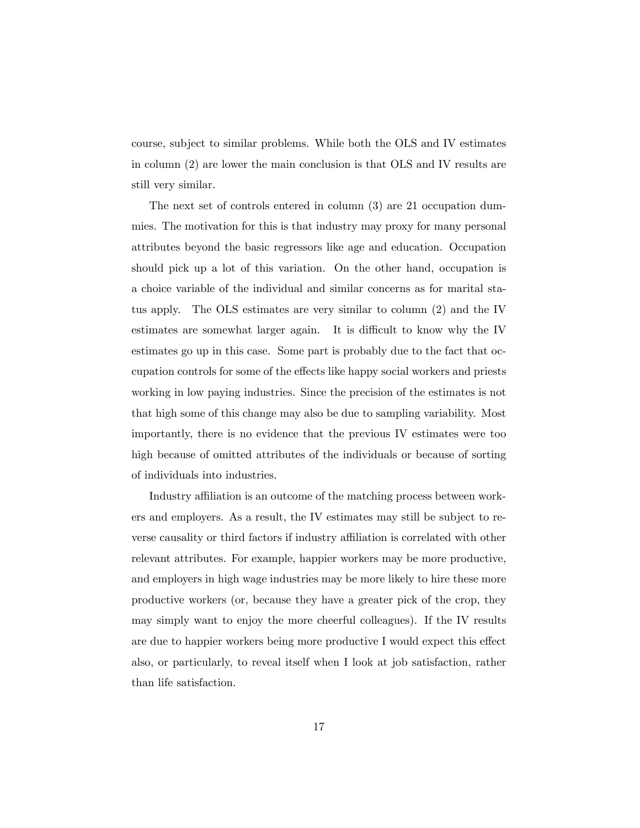course, subject to similar problems. While both the OLS and IV estimates in column (2) are lower the main conclusion is that OLS and IV results are still very similar.

The next set of controls entered in column (3) are 21 occupation dummies. The motivation for this is that industry may proxy for many personal attributes beyond the basic regressors like age and education. Occupation should pick up a lot of this variation. On the other hand, occupation is a choice variable of the individual and similar concerns as for marital status apply. The OLS estimates are very similar to column (2) and the IV estimates are somewhat larger again. It is difficult to know why the IV estimates go up in this case. Some part is probably due to the fact that occupation controls for some of the effects like happy social workers and priests working in low paying industries. Since the precision of the estimates is not that high some of this change may also be due to sampling variability. Most importantly, there is no evidence that the previous IV estimates were too high because of omitted attributes of the individuals or because of sorting of individuals into industries.

Industry affiliation is an outcome of the matching process between workers and employers. As a result, the IV estimates may still be subject to reverse causality or third factors if industry affiliation is correlated with other relevant attributes. For example, happier workers may be more productive, and employers in high wage industries may be more likely to hire these more productive workers (or, because they have a greater pick of the crop, they may simply want to enjoy the more cheerful colleagues). If the IV results are due to happier workers being more productive I would expect this effect also, or particularly, to reveal itself when I look at job satisfaction, rather than life satisfaction.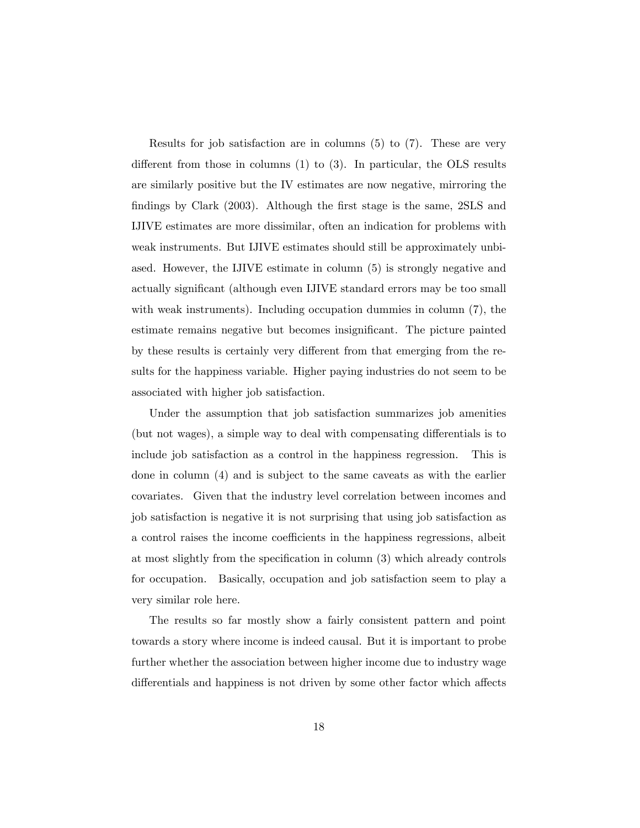Results for job satisfaction are in columns (5) to (7). These are very different from those in columns  $(1)$  to  $(3)$ . In particular, the OLS results are similarly positive but the IV estimates are now negative, mirroring the findings by Clark (2003). Although the first stage is the same, 2SLS and IJIVE estimates are more dissimilar, often an indication for problems with weak instruments. But IJIVE estimates should still be approximately unbiased. However, the IJIVE estimate in column (5) is strongly negative and actually significant (although even IJIVE standard errors may be too small with weak instruments). Including occupation dummies in column  $(7)$ , the estimate remains negative but becomes insignificant. The picture painted by these results is certainly very different from that emerging from the results for the happiness variable. Higher paying industries do not seem to be associated with higher job satisfaction.

Under the assumption that job satisfaction summarizes job amenities (but not wages), a simple way to deal with compensating differentials is to include job satisfaction as a control in the happiness regression. This is done in column (4) and is subject to the same caveats as with the earlier covariates. Given that the industry level correlation between incomes and job satisfaction is negative it is not surprising that using job satisfaction as a control raises the income coefficients in the happiness regressions, albeit at most slightly from the specification in column  $(3)$  which already controls for occupation. Basically, occupation and job satisfaction seem to play a very similar role here.

The results so far mostly show a fairly consistent pattern and point towards a story where income is indeed causal. But it is important to probe further whether the association between higher income due to industry wage differentials and happiness is not driven by some other factor which affects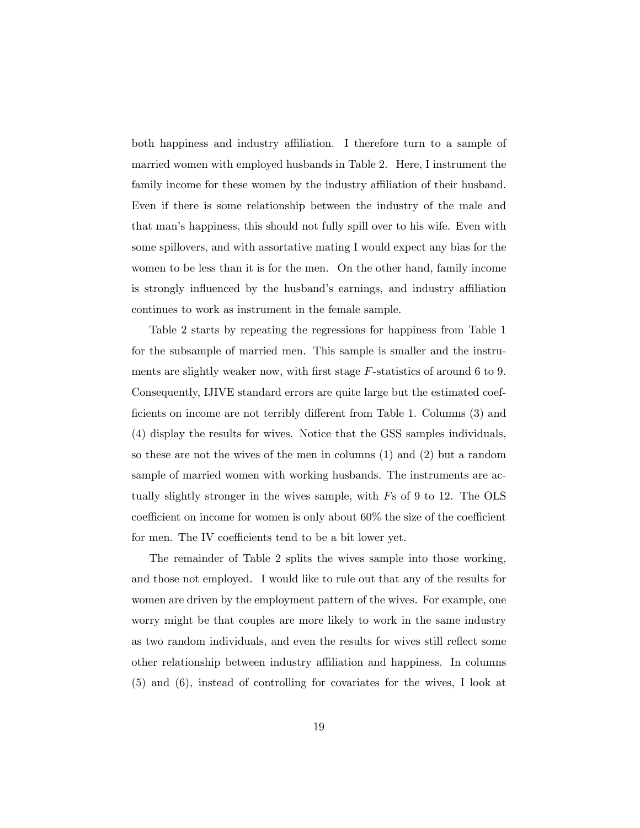both happiness and industry affiliation. I therefore turn to a sample of married women with employed husbands in Table 2. Here, I instrument the family income for these women by the industry affiliation of their husband. Even if there is some relationship between the industry of the male and that manís happiness, this should not fully spill over to his wife. Even with some spillovers, and with assortative mating I would expect any bias for the women to be less than it is for the men. On the other hand, family income is strongly influenced by the husband's earnings, and industry affiliation continues to work as instrument in the female sample.

Table 2 starts by repeating the regressions for happiness from Table 1 for the subsample of married men. This sample is smaller and the instruments are slightly weaker now, with first stage  $F$ -statistics of around 6 to 9. Consequently, IJIVE standard errors are quite large but the estimated coefficients on income are not terribly different from Table 1. Columns (3) and (4) display the results for wives. Notice that the GSS samples individuals, so these are not the wives of the men in columns (1) and (2) but a random sample of married women with working husbands. The instruments are actually slightly stronger in the wives sample, with Fs of 9 to 12. The OLS coefficient on income for women is only about  $60\%$  the size of the coefficient for men. The IV coefficients tend to be a bit lower yet.

The remainder of Table 2 splits the wives sample into those working, and those not employed. I would like to rule out that any of the results for women are driven by the employment pattern of the wives. For example, one worry might be that couples are more likely to work in the same industry as two random individuals, and even the results for wives still reflect some other relationship between industry a¢ liation and happiness. In columns (5) and (6), instead of controlling for covariates for the wives, I look at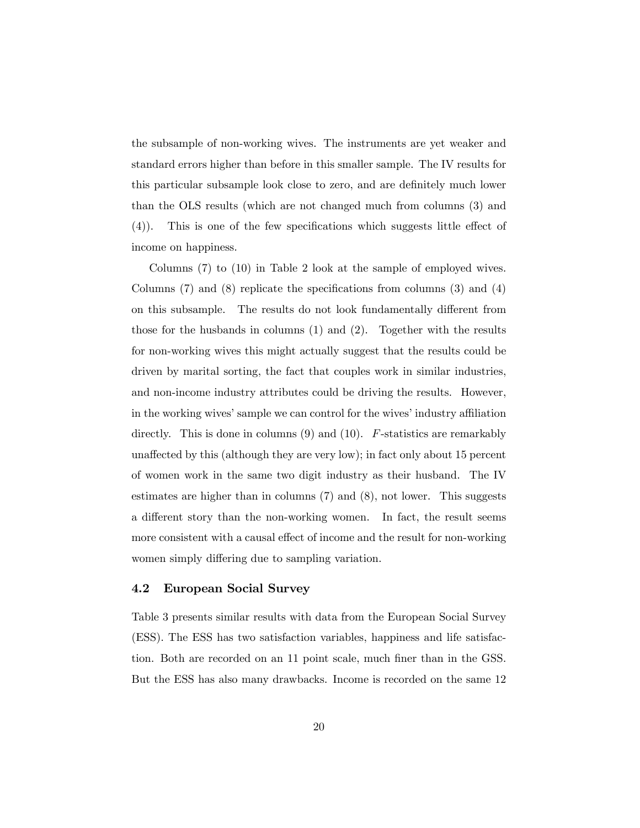the subsample of non-working wives. The instruments are yet weaker and standard errors higher than before in this smaller sample. The IV results for this particular subsample look close to zero, and are definitely much lower than the OLS results (which are not changed much from columns (3) and  $(4)$ ). This is one of the few specifications which suggests little effect of income on happiness.

Columns (7) to (10) in Table 2 look at the sample of employed wives. Columns  $(7)$  and  $(8)$  replicate the specifications from columns  $(3)$  and  $(4)$ on this subsample. The results do not look fundamentally different from those for the husbands in columns (1) and (2). Together with the results for non-working wives this might actually suggest that the results could be driven by marital sorting, the fact that couples work in similar industries, and non-income industry attributes could be driving the results. However, in the working wives' sample we can control for the wives' industry affiliation directly. This is done in columns  $(9)$  and  $(10)$ . F-statistics are remarkably unaffected by this (although they are very low); in fact only about 15 percent of women work in the same two digit industry as their husband. The IV estimates are higher than in columns (7) and (8), not lower. This suggests a different story than the non-working women. In fact, the result seems more consistent with a causal effect of income and the result for non-working women simply differing due to sampling variation.

### 4.2 European Social Survey

Table 3 presents similar results with data from the European Social Survey (ESS). The ESS has two satisfaction variables, happiness and life satisfaction. Both are recorded on an 11 point scale, much finer than in the GSS. But the ESS has also many drawbacks. Income is recorded on the same 12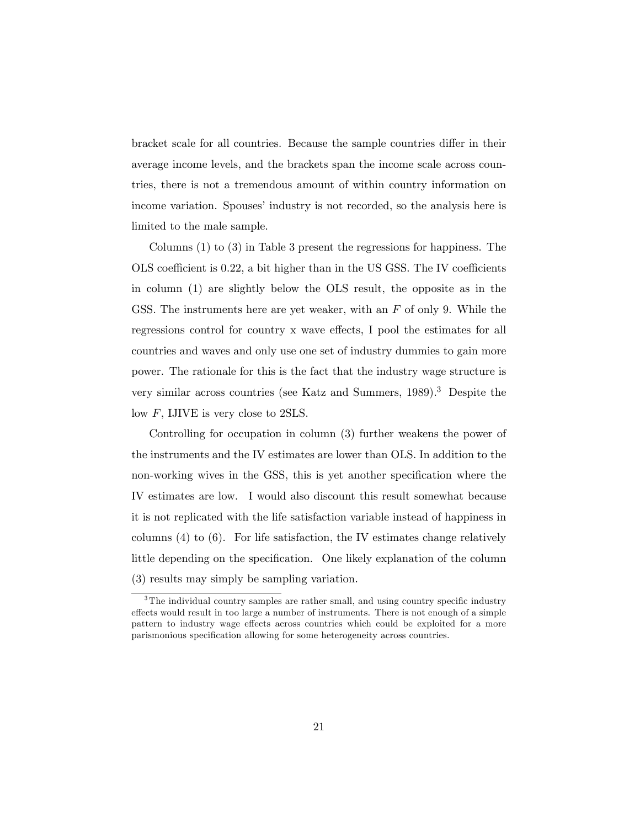bracket scale for all countries. Because the sample countries differ in their average income levels, and the brackets span the income scale across countries, there is not a tremendous amount of within country information on income variation. Spouses' industry is not recorded, so the analysis here is limited to the male sample.

Columns (1) to (3) in Table 3 present the regressions for happiness. The OLS coefficient is  $0.22$ , a bit higher than in the US GSS. The IV coefficients in column (1) are slightly below the OLS result, the opposite as in the GSS. The instruments here are yet weaker, with an  $F$  of only 9. While the regressions control for country x wave effects, I pool the estimates for all countries and waves and only use one set of industry dummies to gain more power. The rationale for this is the fact that the industry wage structure is very similar across countries (see Katz and Summers, 1989).<sup>3</sup> Despite the low F, IJIVE is very close to 2SLS.

Controlling for occupation in column (3) further weakens the power of the instruments and the IV estimates are lower than OLS. In addition to the non-working wives in the GSS, this is yet another specification where the IV estimates are low. I would also discount this result somewhat because it is not replicated with the life satisfaction variable instead of happiness in columns  $(4)$  to  $(6)$ . For life satisfaction, the IV estimates change relatively little depending on the specification. One likely explanation of the column (3) results may simply be sampling variation.

 $3$ The individual country samples are rather small, and using country specific industry effects would result in too large a number of instruments. There is not enough of a simple pattern to industry wage effects across countries which could be exploited for a more parismonious specification allowing for some heterogeneity across countries.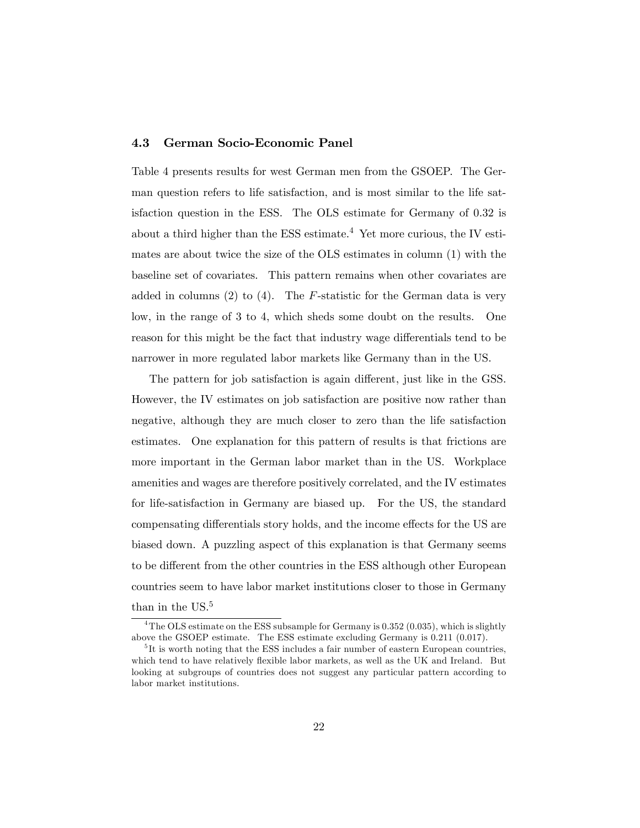### 4.3 German Socio-Economic Panel

Table 4 presents results for west German men from the GSOEP. The German question refers to life satisfaction, and is most similar to the life satisfaction question in the ESS. The OLS estimate for Germany of 0.32 is about a third higher than the ESS estimate.<sup>4</sup> Yet more curious, the IV estimates are about twice the size of the OLS estimates in column (1) with the baseline set of covariates. This pattern remains when other covariates are added in columns  $(2)$  to  $(4)$ . The *F*-statistic for the German data is very low, in the range of 3 to 4, which sheds some doubt on the results. One reason for this might be the fact that industry wage differentials tend to be narrower in more regulated labor markets like Germany than in the US.

The pattern for job satisfaction is again different, just like in the GSS. However, the IV estimates on job satisfaction are positive now rather than negative, although they are much closer to zero than the life satisfaction estimates. One explanation for this pattern of results is that frictions are more important in the German labor market than in the US. Workplace amenities and wages are therefore positively correlated, and the IV estimates for life-satisfaction in Germany are biased up. For the US, the standard compensating differentials story holds, and the income effects for the US are biased down. A puzzling aspect of this explanation is that Germany seems to be different from the other countries in the ESS although other European countries seem to have labor market institutions closer to those in Germany than in the US.<sup>5</sup>

<sup>&</sup>lt;sup>4</sup>The OLS estimate on the ESS subsample for Germany is 0.352 (0.035), which is slightly above the GSOEP estimate. The ESS estimate excluding Germany is 0.211 (0.017).

<sup>&</sup>lt;sup>5</sup>It is worth noting that the ESS includes a fair number of eastern European countries, which tend to have relatively flexible labor markets, as well as the UK and Ireland. But looking at subgroups of countries does not suggest any particular pattern according to labor market institutions.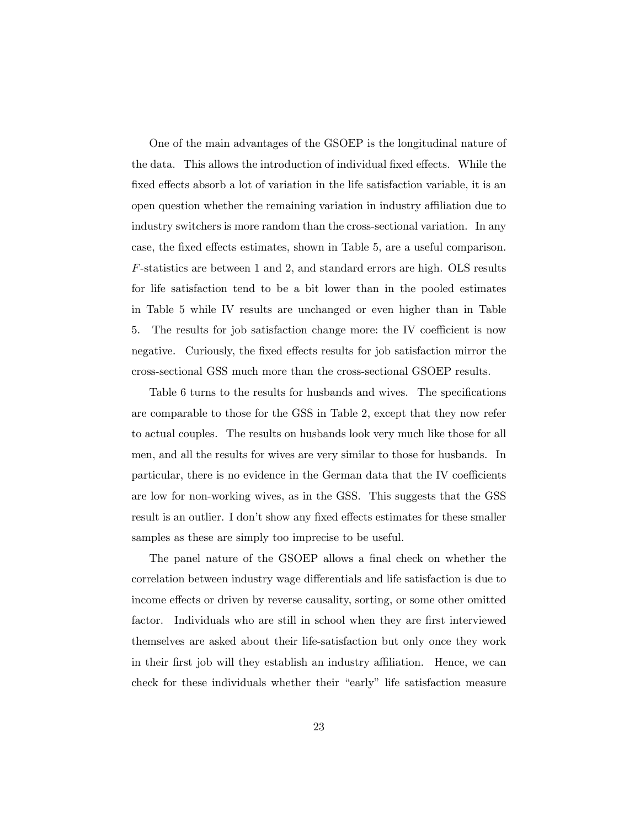One of the main advantages of the GSOEP is the longitudinal nature of the data. This allows the introduction of individual fixed effects. While the fixed effects absorb a lot of variation in the life satisfaction variable, it is an open question whether the remaining variation in industry affiliation due to industry switchers is more random than the cross-sectional variation. In any case, the fixed effects estimates, shown in Table 5, are a useful comparison. F-statistics are between 1 and 2, and standard errors are high. OLS results for life satisfaction tend to be a bit lower than in the pooled estimates in Table 5 while IV results are unchanged or even higher than in Table 5. The results for job satisfaction change more: the IV coefficient is now negative. Curiously, the fixed effects results for job satisfaction mirror the cross-sectional GSS much more than the cross-sectional GSOEP results.

Table 6 turns to the results for husbands and wives. The specifications are comparable to those for the GSS in Table 2, except that they now refer to actual couples. The results on husbands look very much like those for all men, and all the results for wives are very similar to those for husbands. In particular, there is no evidence in the German data that the IV coefficients are low for non-working wives, as in the GSS. This suggests that the GSS result is an outlier. I don't show any fixed effects estimates for these smaller samples as these are simply too imprecise to be useful.

The panel nature of the GSOEP allows a final check on whether the correlation between industry wage differentials and life satisfaction is due to income effects or driven by reverse causality, sorting, or some other omitted factor. Individuals who are still in school when they are first interviewed themselves are asked about their life-satisfaction but only once they work in their first job will they establish an industry affiliation. Hence, we can check for these individuals whether their "early" life satisfaction measure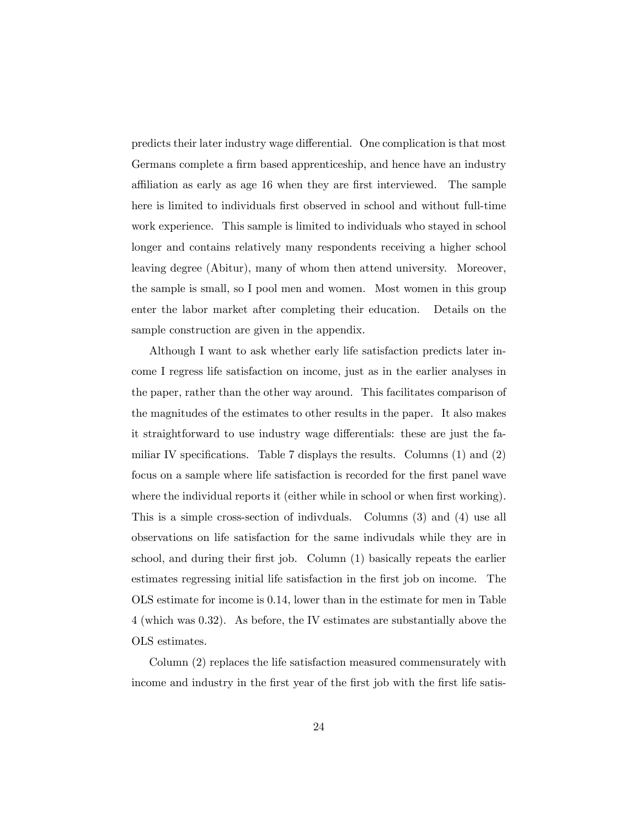predicts their later industry wage differential. One complication is that most Germans complete a firm based apprenticeship, and hence have an industry affiliation as early as age 16 when they are first interviewed. The sample here is limited to individuals first observed in school and without full-time work experience. This sample is limited to individuals who stayed in school longer and contains relatively many respondents receiving a higher school leaving degree (Abitur), many of whom then attend university. Moreover, the sample is small, so I pool men and women. Most women in this group enter the labor market after completing their education. Details on the sample construction are given in the appendix.

Although I want to ask whether early life satisfaction predicts later income I regress life satisfaction on income, just as in the earlier analyses in the paper, rather than the other way around. This facilitates comparison of the magnitudes of the estimates to other results in the paper. It also makes it straightforward to use industry wage differentials: these are just the familiar IV specifications. Table 7 displays the results. Columns  $(1)$  and  $(2)$ focus on a sample where life satisfaction is recorded for the first panel wave where the individual reports it (either while in school or when first working). This is a simple cross-section of indivduals. Columns (3) and (4) use all observations on life satisfaction for the same indivudals while they are in school, and during their first job. Column (1) basically repeats the earlier estimates regressing initial life satisfaction in the first job on income. The OLS estimate for income is 0.14, lower than in the estimate for men in Table 4 (which was 0.32). As before, the IV estimates are substantially above the OLS estimates.

Column (2) replaces the life satisfaction measured commensurately with income and industry in the first year of the first job with the first life satis-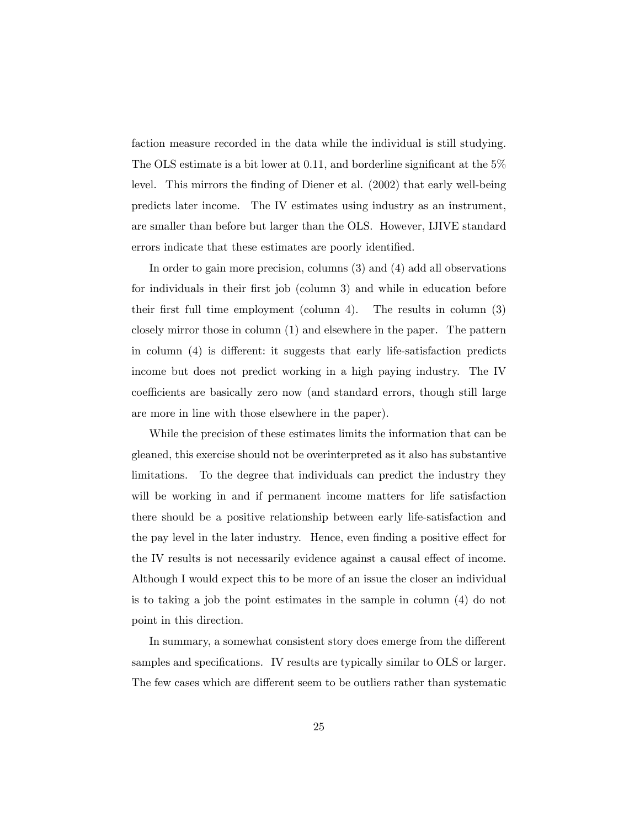faction measure recorded in the data while the individual is still studying. The OLS estimate is a bit lower at  $0.11$ , and borderline significant at the  $5\%$ level. This mirrors the Önding of Diener et al. (2002) that early well-being predicts later income. The IV estimates using industry as an instrument, are smaller than before but larger than the OLS. However, IJIVE standard errors indicate that these estimates are poorly identified.

In order to gain more precision, columns (3) and (4) add all observations for individuals in their Örst job (column 3) and while in education before their first full time employment (column 4). The results in column  $(3)$ closely mirror those in column (1) and elsewhere in the paper. The pattern in column  $(4)$  is different: it suggests that early life-satisfaction predicts income but does not predict working in a high paying industry. The IV coefficients are basically zero now (and standard errors, though still large are more in line with those elsewhere in the paper).

While the precision of these estimates limits the information that can be gleaned, this exercise should not be overinterpreted as it also has substantive limitations. To the degree that individuals can predict the industry they will be working in and if permanent income matters for life satisfaction there should be a positive relationship between early life-satisfaction and the pay level in the later industry. Hence, even finding a positive effect for the IV results is not necessarily evidence against a causal effect of income. Although I would expect this to be more of an issue the closer an individual is to taking a job the point estimates in the sample in column (4) do not point in this direction.

In summary, a somewhat consistent story does emerge from the different samples and specifications. IV results are typically similar to OLS or larger. The few cases which are different seem to be outliers rather than systematic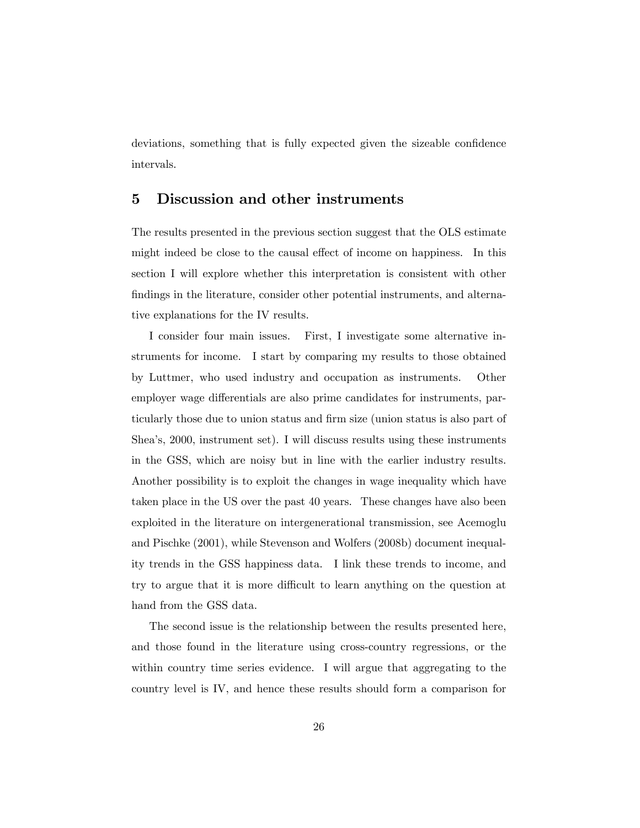deviations, something that is fully expected given the sizeable confidence intervals.

## 5 Discussion and other instruments

The results presented in the previous section suggest that the OLS estimate might indeed be close to the causal effect of income on happiness. In this section I will explore whether this interpretation is consistent with other findings in the literature, consider other potential instruments, and alternative explanations for the IV results.

I consider four main issues. First, I investigate some alternative instruments for income. I start by comparing my results to those obtained by Luttmer, who used industry and occupation as instruments. Other employer wage differentials are also prime candidates for instruments, particularly those due to union status and firm size (union status is also part of Sheaís, 2000, instrument set). I will discuss results using these instruments in the GSS, which are noisy but in line with the earlier industry results. Another possibility is to exploit the changes in wage inequality which have taken place in the US over the past 40 years. These changes have also been exploited in the literature on intergenerational transmission, see Acemoglu and Pischke (2001), while Stevenson and Wolfers (2008b) document inequality trends in the GSS happiness data. I link these trends to income, and try to argue that it is more difficult to learn anything on the question at hand from the GSS data.

The second issue is the relationship between the results presented here, and those found in the literature using cross-country regressions, or the within country time series evidence. I will argue that aggregating to the country level is IV, and hence these results should form a comparison for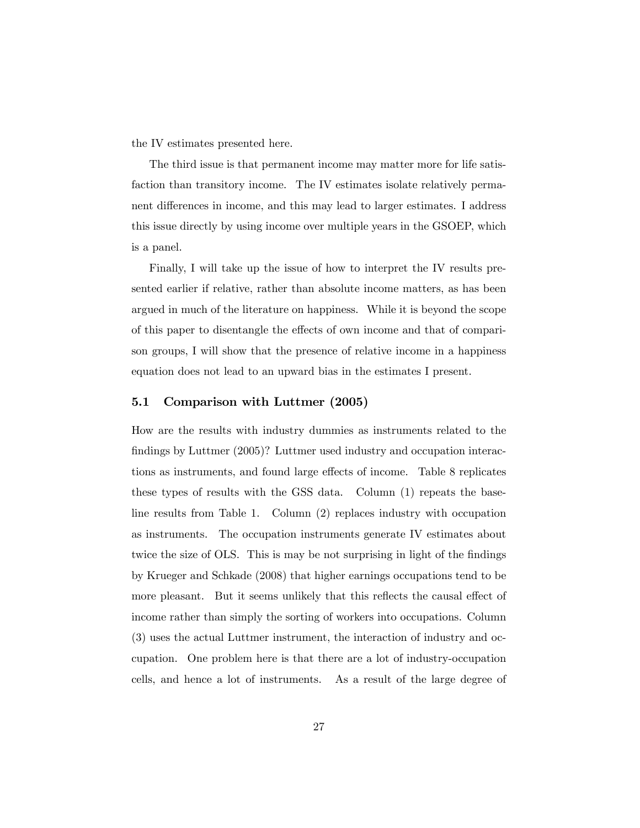the IV estimates presented here.

The third issue is that permanent income may matter more for life satisfaction than transitory income. The IV estimates isolate relatively permanent differences in income, and this may lead to larger estimates. I address this issue directly by using income over multiple years in the GSOEP, which is a panel.

Finally, I will take up the issue of how to interpret the IV results presented earlier if relative, rather than absolute income matters, as has been argued in much of the literature on happiness. While it is beyond the scope of this paper to disentangle the effects of own income and that of comparison groups, I will show that the presence of relative income in a happiness equation does not lead to an upward bias in the estimates I present.

### 5.1 Comparison with Luttmer (2005)

How are the results with industry dummies as instruments related to the findings by Luttmer (2005)? Luttmer used industry and occupation interactions as instruments, and found large effects of income. Table 8 replicates these types of results with the GSS data. Column (1) repeats the baseline results from Table 1. Column (2) replaces industry with occupation as instruments. The occupation instruments generate IV estimates about twice the size of OLS. This is may be not surprising in light of the findings by Krueger and Schkade (2008) that higher earnings occupations tend to be more pleasant. But it seems unlikely that this reflects the causal effect of income rather than simply the sorting of workers into occupations. Column (3) uses the actual Luttmer instrument, the interaction of industry and occupation. One problem here is that there are a lot of industry-occupation cells, and hence a lot of instruments. As a result of the large degree of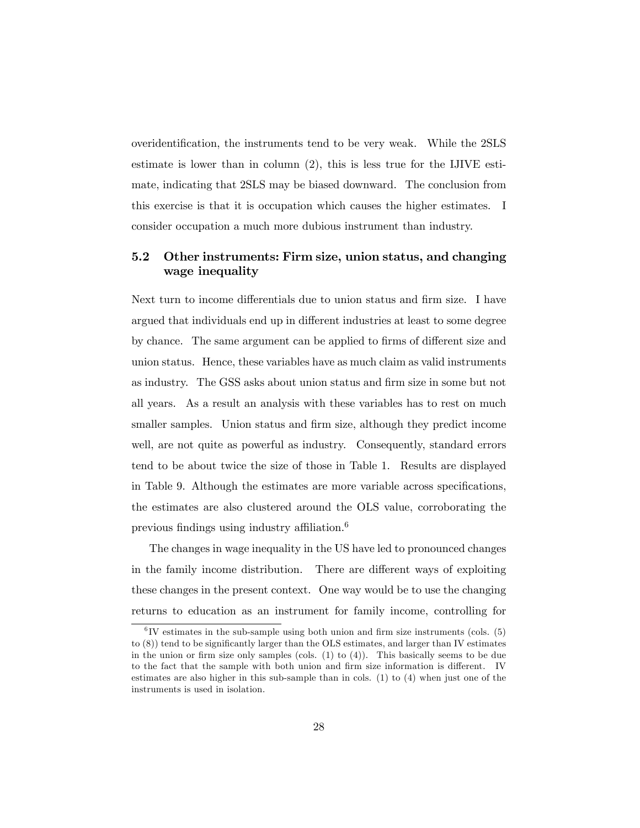overidentification, the instruments tend to be very weak. While the 2SLS estimate is lower than in column (2), this is less true for the IJIVE estimate, indicating that 2SLS may be biased downward. The conclusion from this exercise is that it is occupation which causes the higher estimates. I consider occupation a much more dubious instrument than industry.

## 5.2 Other instruments: Firm size, union status, and changing wage inequality

Next turn to income differentials due to union status and firm size. I have argued that individuals end up in different industries at least to some degree by chance. The same argument can be applied to firms of different size and union status. Hence, these variables have as much claim as valid instruments as industry. The GSS asks about union status and Örm size in some but not all years. As a result an analysis with these variables has to rest on much smaller samples. Union status and firm size, although they predict income well, are not quite as powerful as industry. Consequently, standard errors tend to be about twice the size of those in Table 1. Results are displayed in Table 9. Although the estimates are more variable across specifications, the estimates are also clustered around the OLS value, corroborating the previous findings using industry affiliation.<sup>6</sup>

The changes in wage inequality in the US have led to pronounced changes in the family income distribution. There are different ways of exploiting these changes in the present context. One way would be to use the changing returns to education as an instrument for family income, controlling for

 ${}^{6}$ IV estimates in the sub-sample using both union and firm size instruments (cols.  $(5)$ to  $(8)$ ) tend to be significantly larger than the OLS estimates, and larger than IV estimates in the union or firm size only samples (cols.  $(1)$  to  $(4)$ ). This basically seems to be due to the fact that the sample with both union and firm size information is different. IV estimates are also higher in this sub-sample than in cols. (1) to (4) when just one of the instruments is used in isolation.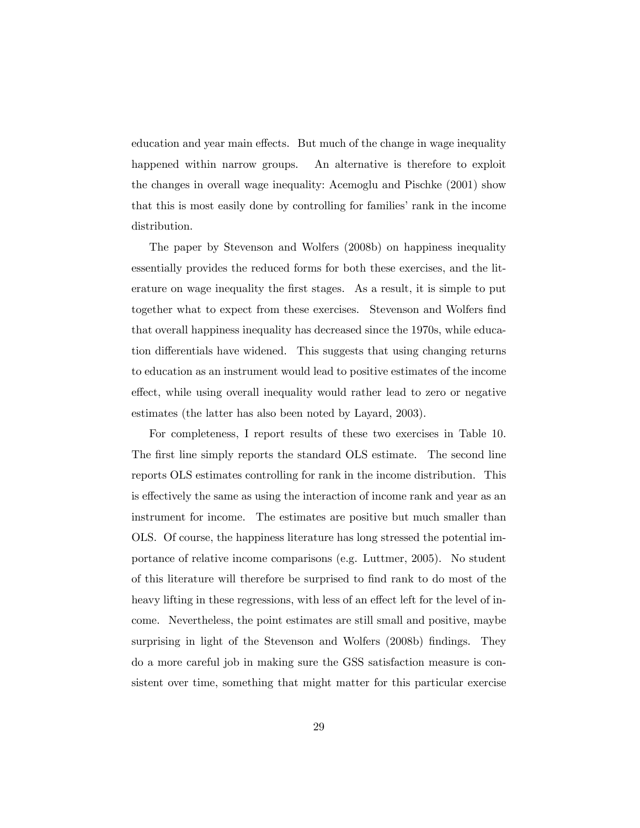education and year main effects. But much of the change in wage inequality happened within narrow groups. An alternative is therefore to exploit the changes in overall wage inequality: Acemoglu and Pischke (2001) show that this is most easily done by controlling for families' rank in the income distribution.

The paper by Stevenson and Wolfers (2008b) on happiness inequality essentially provides the reduced forms for both these exercises, and the literature on wage inequality the first stages. As a result, it is simple to put together what to expect from these exercises. Stevenson and Wolfers find that overall happiness inequality has decreased since the 1970s, while education differentials have widened. This suggests that using changing returns to education as an instrument would lead to positive estimates of the income effect, while using overall inequality would rather lead to zero or negative estimates (the latter has also been noted by Layard, 2003).

For completeness, I report results of these two exercises in Table 10. The first line simply reports the standard OLS estimate. The second line reports OLS estimates controlling for rank in the income distribution. This is effectively the same as using the interaction of income rank and year as an instrument for income. The estimates are positive but much smaller than OLS. Of course, the happiness literature has long stressed the potential importance of relative income comparisons (e.g. Luttmer, 2005). No student of this literature will therefore be surprised to Önd rank to do most of the heavy lifting in these regressions, with less of an effect left for the level of income. Nevertheless, the point estimates are still small and positive, maybe surprising in light of the Stevenson and Wolfers (2008b) findings. They do a more careful job in making sure the GSS satisfaction measure is consistent over time, something that might matter for this particular exercise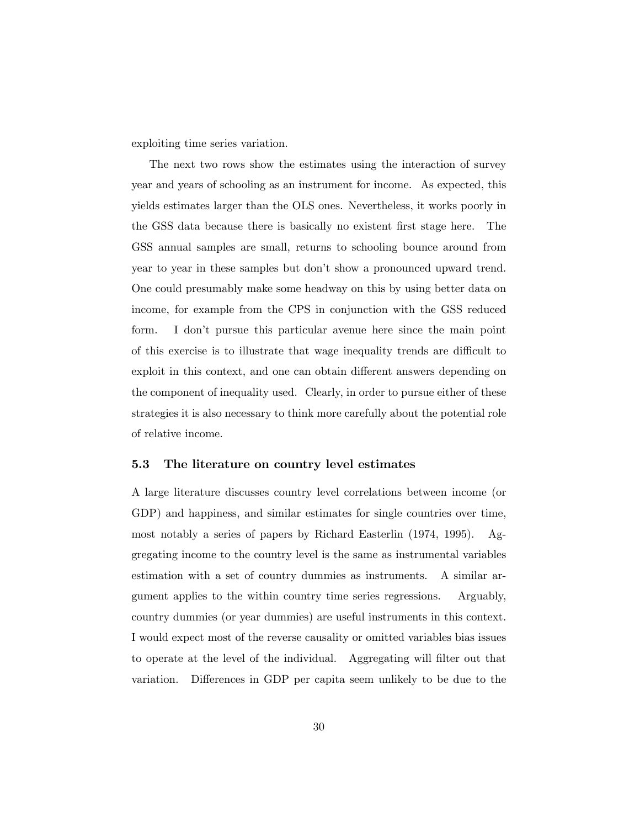exploiting time series variation.

The next two rows show the estimates using the interaction of survey year and years of schooling as an instrument for income. As expected, this yields estimates larger than the OLS ones. Nevertheless, it works poorly in the GSS data because there is basically no existent Örst stage here. The GSS annual samples are small, returns to schooling bounce around from year to year in these samples but don't show a pronounced upward trend. One could presumably make some headway on this by using better data on income, for example from the CPS in conjunction with the GSS reduced form. I donít pursue this particular avenue here since the main point of this exercise is to illustrate that wage inequality trends are difficult to exploit in this context, and one can obtain different answers depending on the component of inequality used. Clearly, in order to pursue either of these strategies it is also necessary to think more carefully about the potential role of relative income.

### 5.3 The literature on country level estimates

A large literature discusses country level correlations between income (or GDP) and happiness, and similar estimates for single countries over time, most notably a series of papers by Richard Easterlin (1974, 1995). Aggregating income to the country level is the same as instrumental variables estimation with a set of country dummies as instruments. A similar argument applies to the within country time series regressions. Arguably, country dummies (or year dummies) are useful instruments in this context. I would expect most of the reverse causality or omitted variables bias issues to operate at the level of the individual. Aggregating will Ölter out that variation. Differences in GDP per capita seem unlikely to be due to the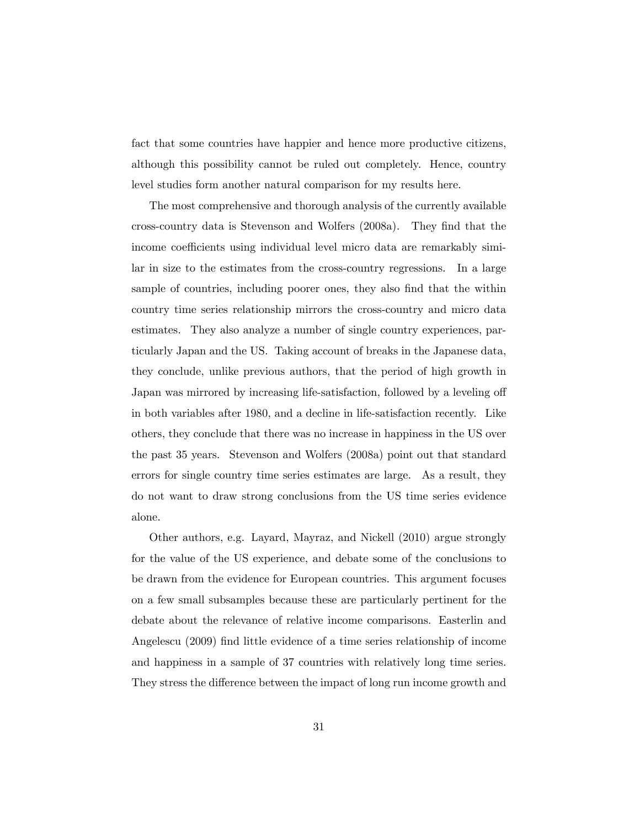fact that some countries have happier and hence more productive citizens, although this possibility cannot be ruled out completely. Hence, country level studies form another natural comparison for my results here.

The most comprehensive and thorough analysis of the currently available cross-country data is Stevenson and Wolfers (2008a). They Önd that the income coefficients using individual level micro data are remarkably similar in size to the estimates from the cross-country regressions. In a large sample of countries, including poorer ones, they also find that the within country time series relationship mirrors the cross-country and micro data estimates. They also analyze a number of single country experiences, particularly Japan and the US. Taking account of breaks in the Japanese data, they conclude, unlike previous authors, that the period of high growth in Japan was mirrored by increasing life-satisfaction, followed by a leveling off in both variables after 1980, and a decline in life-satisfaction recently. Like others, they conclude that there was no increase in happiness in the US over the past 35 years. Stevenson and Wolfers (2008a) point out that standard errors for single country time series estimates are large. As a result, they do not want to draw strong conclusions from the US time series evidence alone.

Other authors, e.g. Layard, Mayraz, and Nickell (2010) argue strongly for the value of the US experience, and debate some of the conclusions to be drawn from the evidence for European countries. This argument focuses on a few small subsamples because these are particularly pertinent for the debate about the relevance of relative income comparisons. Easterlin and Angelescu (2009) find little evidence of a time series relationship of income and happiness in a sample of 37 countries with relatively long time series. They stress the difference between the impact of long run income growth and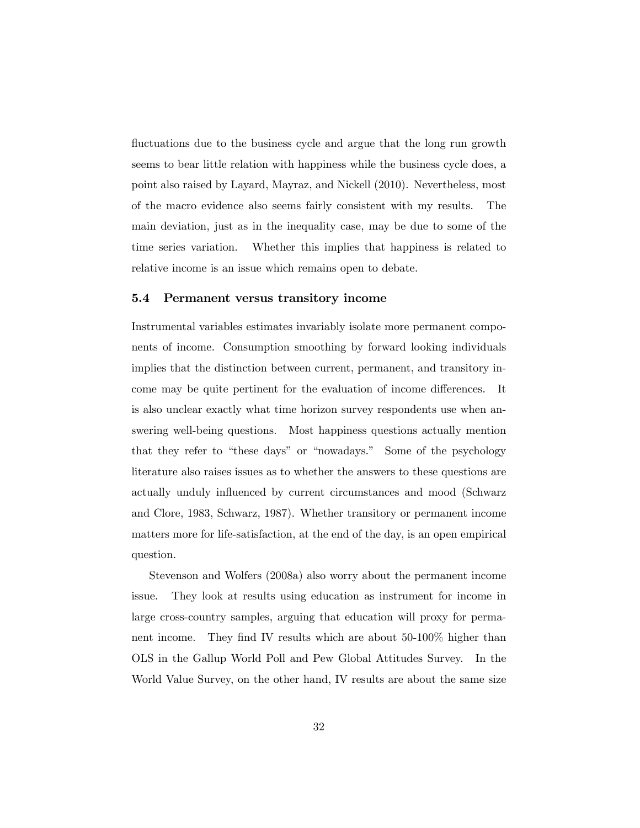fluctuations due to the business cycle and argue that the long run growth seems to bear little relation with happiness while the business cycle does, a point also raised by Layard, Mayraz, and Nickell (2010). Nevertheless, most of the macro evidence also seems fairly consistent with my results. The main deviation, just as in the inequality case, may be due to some of the time series variation. Whether this implies that happiness is related to relative income is an issue which remains open to debate.

#### 5.4 Permanent versus transitory income

Instrumental variables estimates invariably isolate more permanent components of income. Consumption smoothing by forward looking individuals implies that the distinction between current, permanent, and transitory income may be quite pertinent for the evaluation of income differences. It is also unclear exactly what time horizon survey respondents use when answering well-being questions. Most happiness questions actually mention that they refer to "these days" or "nowadays." Some of the psychology literature also raises issues as to whether the answers to these questions are actually unduly influenced by current circumstances and mood (Schwarz and Clore, 1983, Schwarz, 1987). Whether transitory or permanent income matters more for life-satisfaction, at the end of the day, is an open empirical question.

Stevenson and Wolfers (2008a) also worry about the permanent income issue. They look at results using education as instrument for income in large cross-country samples, arguing that education will proxy for permanent income. They find IV results which are about 50-100% higher than OLS in the Gallup World Poll and Pew Global Attitudes Survey. In the World Value Survey, on the other hand, IV results are about the same size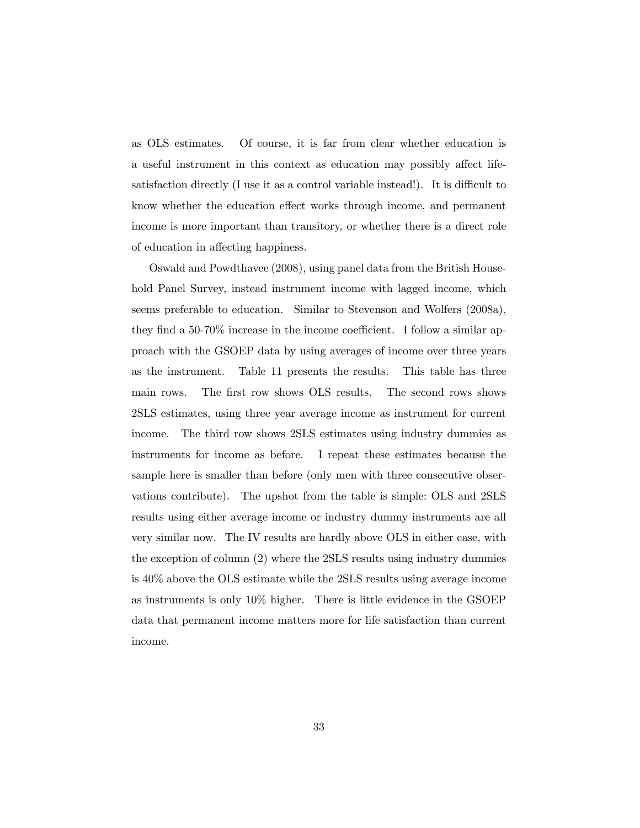as OLS estimates. Of course, it is far from clear whether education is a useful instrument in this context as education may possibly affect lifesatisfaction directly  $(I$  use it as a control variable instead!). It is difficult to know whether the education effect works through income, and permanent income is more important than transitory, or whether there is a direct role of education in affecting happiness.

Oswald and Powdthavee (2008), using panel data from the British Household Panel Survey, instead instrument income with lagged income, which seems preferable to education. Similar to Stevenson and Wolfers (2008a), they find a 50-70% increase in the income coefficient. I follow a similar approach with the GSOEP data by using averages of income over three years as the instrument. Table 11 presents the results. This table has three main rows. The first row shows OLS results. The second rows shows 2SLS estimates, using three year average income as instrument for current income. The third row shows 2SLS estimates using industry dummies as instruments for income as before. I repeat these estimates because the sample here is smaller than before (only men with three consecutive observations contribute). The upshot from the table is simple: OLS and 2SLS results using either average income or industry dummy instruments are all very similar now. The IV results are hardly above OLS in either case, with the exception of column (2) where the 2SLS results using industry dummies is 40% above the OLS estimate while the 2SLS results using average income as instruments is only 10% higher. There is little evidence in the GSOEP data that permanent income matters more for life satisfaction than current income.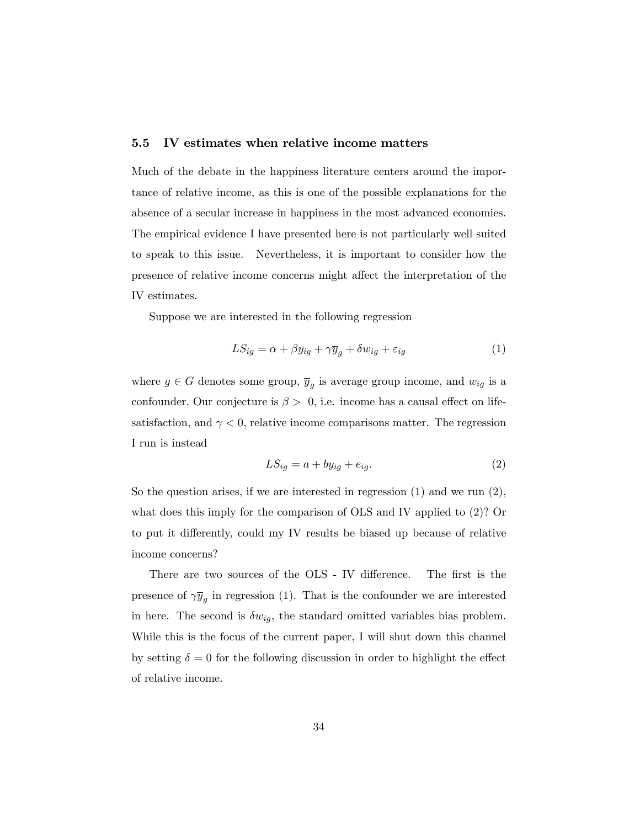### 5.5 IV estimates when relative income matters

Much of the debate in the happiness literature centers around the importance of relative income, as this is one of the possible explanations for the absence of a secular increase in happiness in the most advanced economies. The empirical evidence I have presented here is not particularly well suited to speak to this issue. Nevertheless, it is important to consider how the presence of relative income concerns might affect the interpretation of the IV estimates.

Suppose we are interested in the following regression

$$
LS_{ig} = \alpha + \beta y_{ig} + \gamma \overline{y}_g + \delta w_{ig} + \varepsilon_{ig}
$$
 (1)

where  $g \in G$  denotes some group,  $\overline{y}_g$  is average group income, and  $w_{ig}$  is a confounder. Our conjecture is  $\beta > 0$ , i.e. income has a causal effect on lifesatisfaction, and  $\gamma < 0$ , relative income comparisons matter. The regression I run is instead

$$
LS_{ig} = a + by_{ig} + e_{ig}.\tag{2}
$$

So the question arises, if we are interested in regression  $(1)$  and we run  $(2)$ , what does this imply for the comparison of OLS and IV applied to (2)? Or to put it differently, could my IV results be biased up because of relative income concerns?

There are two sources of the OLS - IV difference. The first is the presence of  $\gamma y_g$  in regression (1). That is the confounder we are interested in here. The second is  $\delta w_{ig}$ , the standard omitted variables bias problem. While this is the focus of the current paper, I will shut down this channel by setting  $\delta = 0$  for the following discussion in order to highlight the effect of relative income.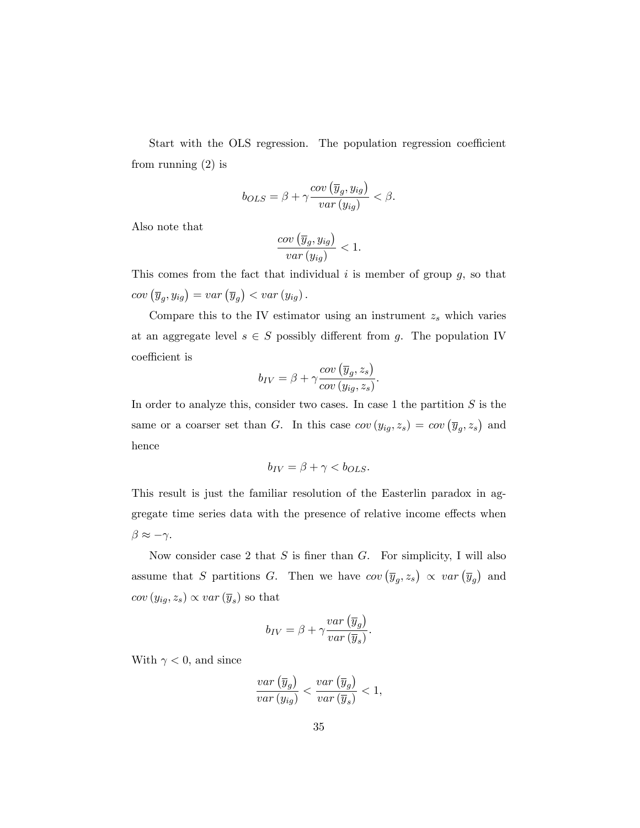Start with the OLS regression. The population regression coefficient from running (2) is

$$
b_{OLS} = \beta + \gamma \frac{cov\left(\overline{y}_g, y_{ig}\right)}{var\left(y_{ig}\right)} < \beta.
$$

Also note that

$$
\frac{cov\left(\overline{y}_g, y_{ig}\right)}{var\left(y_{ig}\right)} < 1.
$$

This comes from the fact that individual  $i$  is member of group  $g$ , so that  $cov\left(\overline{y}_g, y_{ig}\right) = var\left(\overline{y}_g\right) < var\left(y_{ig}\right).$ 

Compare this to the IV estimator using an instrument  $z_s$  which varies at an aggregate level  $s \in S$  possibly different from g. The population IV coefficient is

$$
b_{IV} = \beta + \gamma \frac{cov\left(\overline{y}_g, z_s\right)}{cov\left(y_{ig}, z_s\right)}.
$$

In order to analyze this, consider two cases. In case 1 the partition  $S$  is the same or a coarser set than G. In this case  $cov(y_{ig}, z_s) = cov(\overline{y}_g, z_s)$  and hence

$$
b_{IV} = \beta + \gamma < b_{OLS}.
$$

This result is just the familiar resolution of the Easterlin paradox in aggregate time series data with the presence of relative income effects when  $\beta \approx -\gamma$ .

Now consider case 2 that  $S$  is finer than  $G$ . For simplicity, I will also assume that S partitions G. Then we have  $cov(\overline{y}_g, z_s) \propto var(\overline{y}_g)$  and  $cov(y_{ig}, z_s) \propto var(\overline{y}_s)$  so that

$$
b_{IV} = \beta + \gamma \frac{var\left(\overline{y}_g\right)}{var\left(\overline{y}_s\right)}.
$$

With  $\gamma < 0$ , and since

$$
\frac{var\left(\overline{y}_g\right)}{var\left(y_{ig}\right)} < \frac{var\left(\overline{y}_g\right)}{var\left(\overline{y}_s\right)} < 1,
$$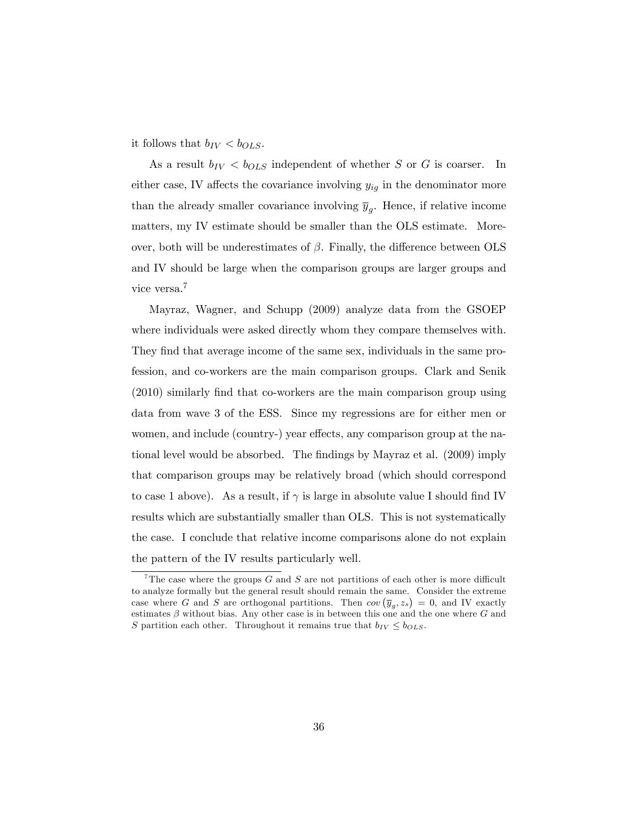it follows that  $b_{IV} < b_{OLS}$ .

As a result  $b_{IV} < b_{OLS}$  independent of whether S or G is coarser. In either case, IV affects the covariance involving  $y_{ig}$  in the denominator more than the already smaller covariance involving  $\overline{y}_g$ . Hence, if relative income matters, my IV estimate should be smaller than the OLS estimate. Moreover, both will be underestimates of  $\beta$ . Finally, the difference between OLS and IV should be large when the comparison groups are larger groups and vice versa.<sup>7</sup>

Mayraz, Wagner, and Schupp (2009) analyze data from the GSOEP where individuals were asked directly whom they compare themselves with. They find that average income of the same sex, individuals in the same profession, and co-workers are the main comparison groups. Clark and Senik  $(2010)$  similarly find that co-workers are the main comparison group using data from wave 3 of the ESS. Since my regressions are for either men or women, and include (country-) year effects, any comparison group at the national level would be absorbed. The findings by Mayraz et al. (2009) imply that comparison groups may be relatively broad (which should correspond to case 1 above). As a result, if  $\gamma$  is large in absolute value I should find IV results which are substantially smaller than OLS. This is not systematically the case. I conclude that relative income comparisons alone do not explain the pattern of the IV results particularly well.

<sup>&</sup>lt;sup>7</sup>The case where the groups  $G$  and  $S$  are not partitions of each other is more difficult to analyze formally but the general result should remain the same. Consider the extreme case where G and S are orthogonal partitions. Then  $cov(\overline{y}_g, z_s) = 0$ , and IV exactly estimates  $\beta$  without bias. Any other case is in between this one and the one where G and S partition each other. Throughout it remains true that  $b_{IV} \leq b_{OLS}$ .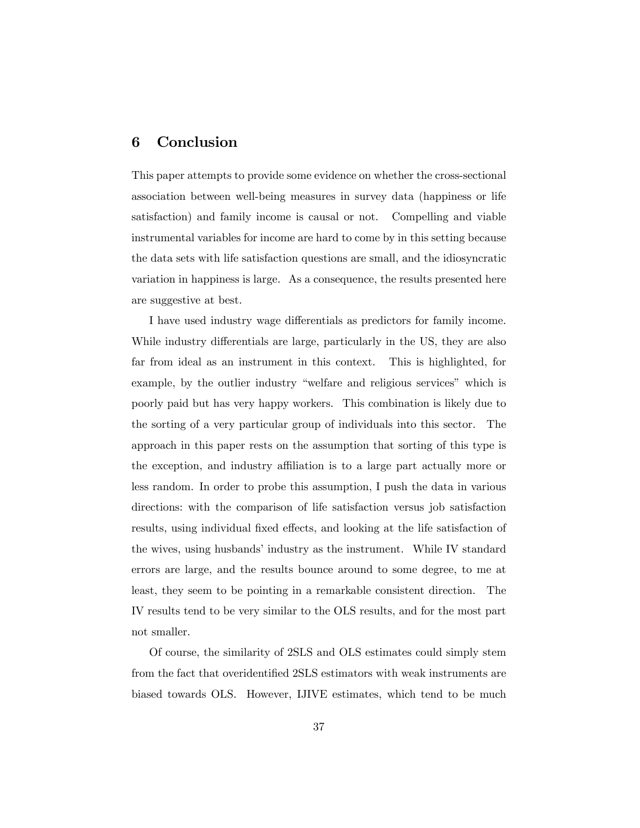## 6 Conclusion

This paper attempts to provide some evidence on whether the cross-sectional association between well-being measures in survey data (happiness or life satisfaction) and family income is causal or not. Compelling and viable instrumental variables for income are hard to come by in this setting because the data sets with life satisfaction questions are small, and the idiosyncratic variation in happiness is large. As a consequence, the results presented here are suggestive at best.

I have used industry wage differentials as predictors for family income. While industry differentials are large, particularly in the US, they are also far from ideal as an instrument in this context. This is highlighted, for example, by the outlier industry "welfare and religious services" which is poorly paid but has very happy workers. This combination is likely due to the sorting of a very particular group of individuals into this sector. The approach in this paper rests on the assumption that sorting of this type is the exception, and industry affiliation is to a large part actually more or less random. In order to probe this assumption, I push the data in various directions: with the comparison of life satisfaction versus job satisfaction results, using individual fixed effects, and looking at the life satisfaction of the wives, using husbands' industry as the instrument. While IV standard errors are large, and the results bounce around to some degree, to me at least, they seem to be pointing in a remarkable consistent direction. The IV results tend to be very similar to the OLS results, and for the most part not smaller.

Of course, the similarity of 2SLS and OLS estimates could simply stem from the fact that overidentified 2SLS estimators with weak instruments are biased towards OLS. However, IJIVE estimates, which tend to be much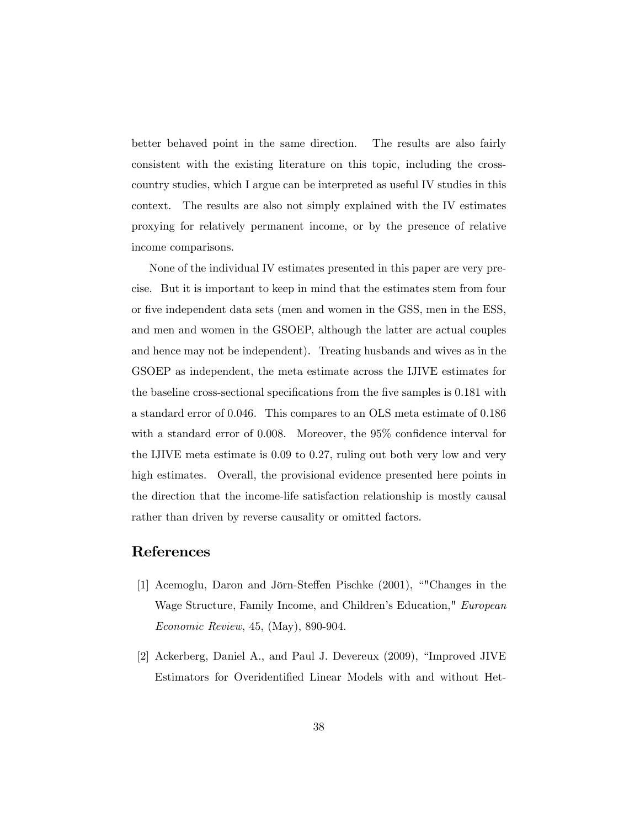better behaved point in the same direction. The results are also fairly consistent with the existing literature on this topic, including the crosscountry studies, which I argue can be interpreted as useful IV studies in this context. The results are also not simply explained with the IV estimates proxying for relatively permanent income, or by the presence of relative income comparisons.

None of the individual IV estimates presented in this paper are very precise. But it is important to keep in mind that the estimates stem from four or five independent data sets (men and women in the GSS, men in the ESS, and men and women in the GSOEP, although the latter are actual couples and hence may not be independent). Treating husbands and wives as in the GSOEP as independent, the meta estimate across the IJIVE estimates for the baseline cross-sectional specifications from the five samples is 0.181 with a standard error of 0.046. This compares to an OLS meta estimate of 0.186 with a standard error of  $0.008$ . Moreover, the  $95\%$  confidence interval for the IJIVE meta estimate is 0.09 to 0.27, ruling out both very low and very high estimates. Overall, the provisional evidence presented here points in the direction that the income-life satisfaction relationship is mostly causal rather than driven by reverse causality or omitted factors.

## References

- [1] Acemoglu, Daron and Jörn-Steffen Pischke (2001), "Changes in the Wage Structure, Family Income, and Children's Education," European Economic Review, 45, (May), 890-904.
- [2] Ackerberg, Daniel A., and Paul J. Devereux  $(2009)$ , "Improved JIVE Estimators for Overidentified Linear Models with and without Het-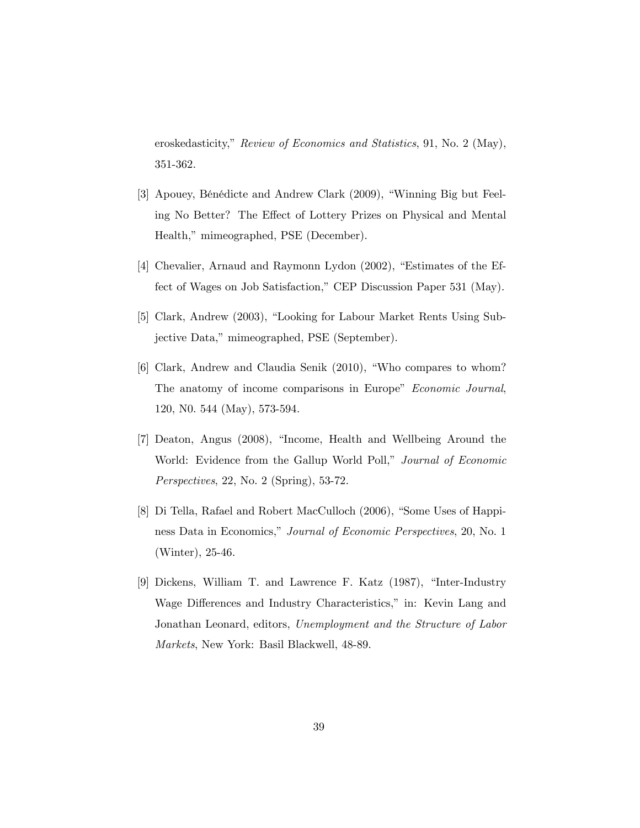eroskedasticity," Review of Economics and Statistics, 91, No. 2 (May), 351-362.

- [3] Apouey, Bénédicte and Andrew Clark (2009), "Winning Big but Feeling No Better? The Effect of Lottery Prizes on Physical and Mental Health," mimeographed, PSE (December).
- [4] Chevalier, Arnaud and Raymonn Lydon (2002), "Estimates of the Effect of Wages on Job Satisfaction," CEP Discussion Paper 531 (May).
- [5] Clark, Andrew (2003), "Looking for Labour Market Rents Using Subjective Data," mimeographed, PSE (September).
- [6] Clark, Andrew and Claudia Senik (2010), "Who compares to whom? The anatomy of income comparisons in Europe" Economic Journal, 120, N0. 544 (May), 573-594.
- [7] Deaton, Angus (2008), "Income, Health and Wellbeing Around the World: Evidence from the Gallup World Poll," Journal of Economic Perspectives, 22, No. 2 (Spring), 53-72.
- [8] Di Tella, Rafael and Robert MacCulloch (2006), "Some Uses of Happiness Data in Economics," Journal of Economic Perspectives, 20, No. 1 (Winter), 25-46.
- [9] Dickens, William T. and Lawrence F. Katz (1987), "Inter-Industry Wage Differences and Industry Characteristics," in: Kevin Lang and Jonathan Leonard, editors, Unemployment and the Structure of Labor Markets, New York: Basil Blackwell, 48-89.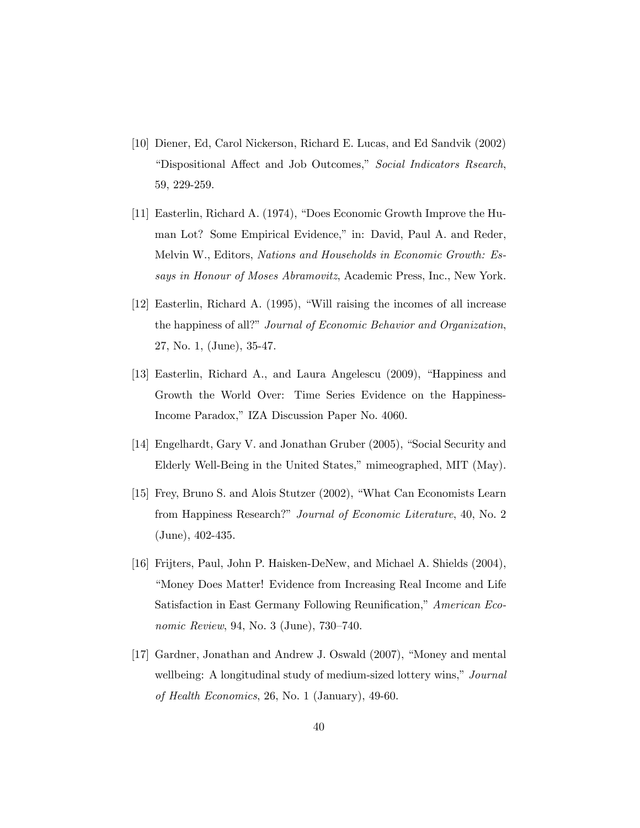- [10] Diener, Ed, Carol Nickerson, Richard E. Lucas, and Ed Sandvik (2002) ìDispositional A§ect and Job Outcomes,î Social Indicators Rsearch, 59, 229-259.
- [11] Easterlin, Richard A.  $(1974)$ , "Does Economic Growth Improve the Human Lot? Some Empirical Evidence," in: David, Paul A. and Reder, Melvin W., Editors, Nations and Households in Economic Growth: Essays in Honour of Moses Abramovitz, Academic Press, Inc., New York.
- $[12]$  Easterlin, Richard A.  $(1995)$ , "Will raising the incomes of all increase the happiness of all?" Journal of Economic Behavior and Organization, 27, No. 1, (June), 35-47.
- [13] Easterlin, Richard A., and Laura Angelescu (2009), "Happiness and Growth the World Over: Time Series Evidence on the Happiness-Income Paradox," IZA Discussion Paper No. 4060.
- [14] Engelhardt, Gary V. and Jonathan Gruber (2005), "Social Security and Elderly Well-Being in the United States," mimeographed, MIT (May).
- [15] Frey, Bruno S. and Alois Stutzer (2002), "What Can Economists Learn from Happiness Research?" Journal of Economic Literature, 40, No. 2 (June), 402-435.
- [16] Frijters, Paul, John P. Haisken-DeNew, and Michael A. Shields (2004), ìMoney Does Matter! Evidence from Increasing Real Income and Life Satisfaction in East Germany Following Reunification," American Economic Review, 94, No. 3 (June),  $730-740$ .
- [17] Gardner, Jonathan and Andrew J. Oswald (2007), "Money and mental wellbeing: A longitudinal study of medium-sized lottery wins," Journal of Health Economics, 26, No. 1 (January), 49-60.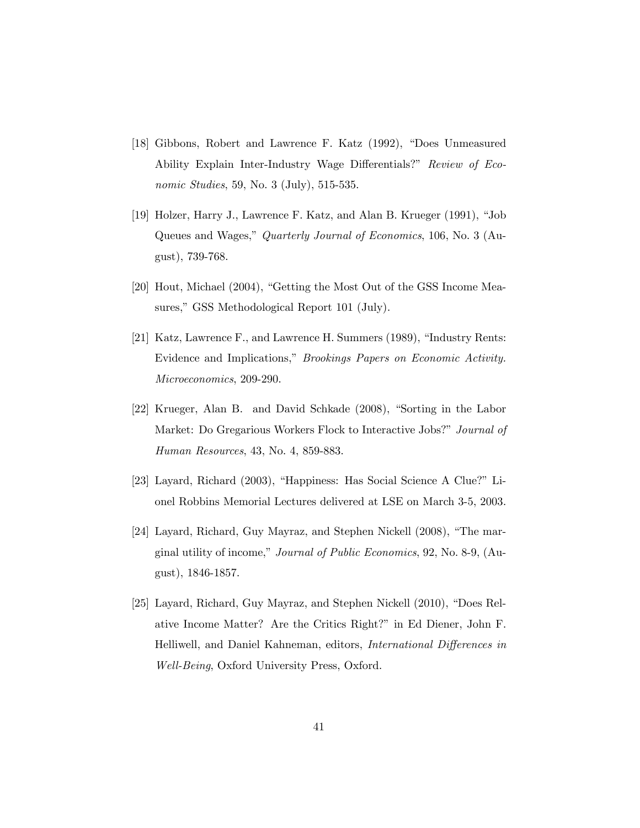- [18] Gibbons, Robert and Lawrence F. Katz (1992), "Does Unmeasured Ability Explain Inter-Industry Wage Differentials?" Review of Economic Studies, 59, No. 3 (July), 515-535.
- [19] Holzer, Harry J., Lawrence F. Katz, and Alan B. Krueger  $(1991)$ , "Job Queues and Wages," Quarterly Journal of Economics, 106, No. 3 (August), 739-768.
- [20] Hout, Michael (2004), "Getting the Most Out of the GSS Income Measures," GSS Methodological Report 101 (July).
- [21] Katz, Lawrence F., and Lawrence H. Summers  $(1989)$ , "Industry Rents: Evidence and Implications," *Brookings Papers on Economic Activity*. Microeconomics, 209-290.
- [22] Krueger, Alan B. and David Schkade (2008), "Sorting in the Labor Market: Do Gregarious Workers Flock to Interactive Jobs?" Journal of Human Resources, 43, No. 4, 859-883.
- [23] Layard, Richard (2003), "Happiness: Has Social Science A Clue?" Lionel Robbins Memorial Lectures delivered at LSE on March 3-5, 2003.
- $[24]$  Layard, Richard, Guy Mayraz, and Stephen Nickell  $(2008)$ , "The marginal utility of income," Journal of Public Economics, 92, No. 8-9, (August), 1846-1857.
- [25] Layard, Richard, Guy Mayraz, and Stephen Nickell (2010), "Does Relative Income Matter? Are the Critics Right?" in Ed Diener, John F. Helliwell, and Daniel Kahneman, editors, *International Differences in* Well-Being, Oxford University Press, Oxford.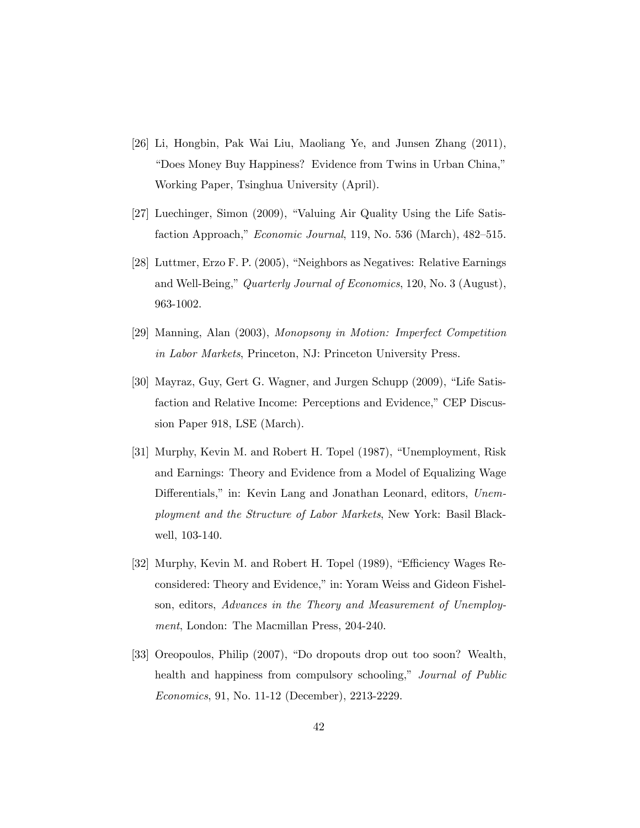- [26] Li, Hongbin, Pak Wai Liu, Maoliang Ye, and Junsen Zhang (2011), "Does Money Buy Happiness? Evidence from Twins in Urban China," Working Paper, Tsinghua University (April).
- [27] Luechinger, Simon (2009), "Valuing Air Quality Using the Life Satisfaction Approach," Economic Journal, 119, No. 536 (March),  $482-515$ .
- [28] Luttmer, Erzo F. P.  $(2005)$ , "Neighbors as Negatives: Relative Earnings and Well-Being," Quarterly Journal of Economics, 120, No. 3 (August), 963-1002.
- [29] Manning, Alan (2003), Monopsony in Motion: Imperfect Competition in Labor Markets, Princeton, NJ: Princeton University Press.
- [30] Mayraz, Guy, Gert G. Wagner, and Jurgen Schupp (2009), "Life Satisfaction and Relative Income: Perceptions and Evidence," CEP Discussion Paper 918, LSE (March).
- [31] Murphy, Kevin M. and Robert H. Topel (1987), "Unemployment, Risk and Earnings: Theory and Evidence from a Model of Equalizing Wage Differentials," in: Kevin Lang and Jonathan Leonard, editors, Unemployment and the Structure of Labor Markets, New York: Basil Blackwell, 103-140.
- [32] Murphy, Kevin M. and Robert H. Topel (1989), "Efficiency Wages Reconsidered: Theory and Evidence," in: Yoram Weiss and Gideon Fishelson, editors, Advances in the Theory and Measurement of Unemployment, London: The Macmillan Press, 204-240.
- [33] Oreopoulos, Philip (2007), "Do dropouts drop out too soon? Wealth, health and happiness from compulsory schooling," Journal of Public Economics, 91, No. 11-12 (December), 2213-2229.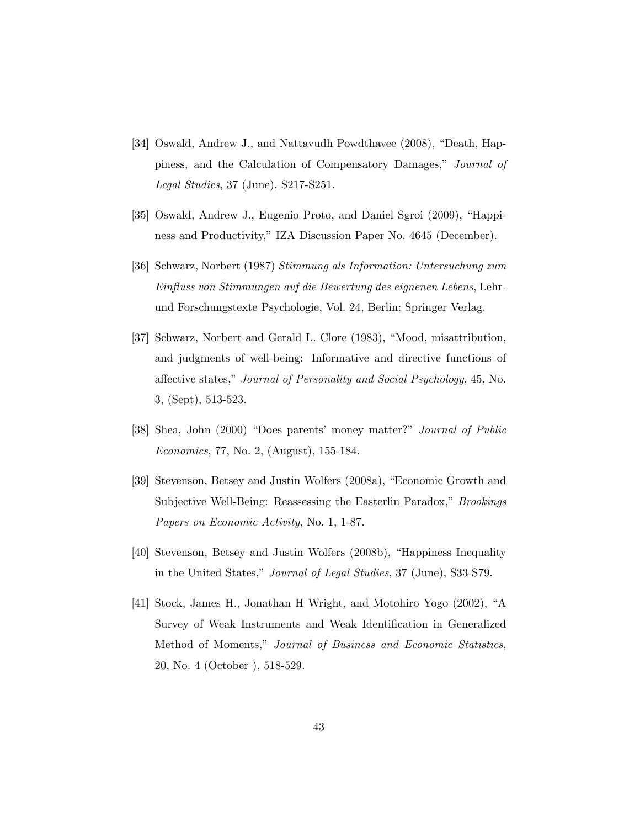- [34] Oswald, Andrew J., and Nattavudh Powdthavee (2008), "Death, Happiness, and the Calculation of Compensatory Damages," Journal of Legal Studies, 37 (June), S217-S251.
- [35] Oswald, Andrew J., Eugenio Proto, and Daniel Sgroi (2009), "Happiness and Productivity," IZA Discussion Paper No. 4645 (December).
- [36] Schwarz, Norbert (1987) Stimmung als Information: Untersuchung zum Einfluss von Stimmungen auf die Bewertung des eignenen Lebens, Lehrund Forschungstexte Psychologie, Vol. 24, Berlin: Springer Verlag.
- [37] Schwarz, Norbert and Gerald L. Clore (1983), "Mood, misattribution, and judgments of well-being: Informative and directive functions of affective states," Journal of Personality and Social Psychology, 45, No. 3, (Sept), 513-523.
- [38] Shea, John (2000) "Does parents' money matter?" Journal of Public Economics, 77, No. 2, (August), 155-184.
- [39] Stevenson, Betsey and Justin Wolfers (2008a), "Economic Growth and Subjective Well-Being: Reassessing the Easterlin Paradox," *Brookings* Papers on Economic Activity, No. 1, 1-87.
- [40] Stevenson, Betsey and Justin Wolfers (2008b), "Happiness Inequality in the United States," Journal of Legal Studies, 37 (June), S33-S79.
- [41] Stock, James H., Jonathan H Wright, and Motohiro Yogo (2002), "A Survey of Weak Instruments and Weak Identification in Generalized Method of Moments," Journal of Business and Economic Statistics, 20, No. 4 (October ), 518-529.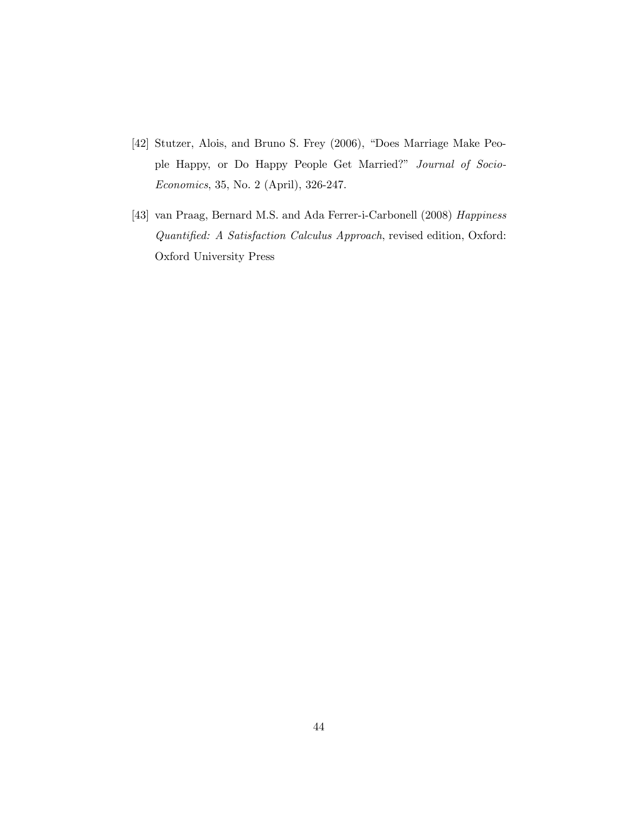- [42] Stutzer, Alois, and Bruno S. Frey (2006), "Does Marriage Make People Happy, or Do Happy People Get Married?" Journal of Socio-Economics, 35, No. 2 (April), 326-247.
- [43] van Praag, Bernard M.S. and Ada Ferrer-i-Carbonell (2008) Happiness Quantified: A Satisfaction Calculus Approach, revised edition, Oxford: Oxford University Press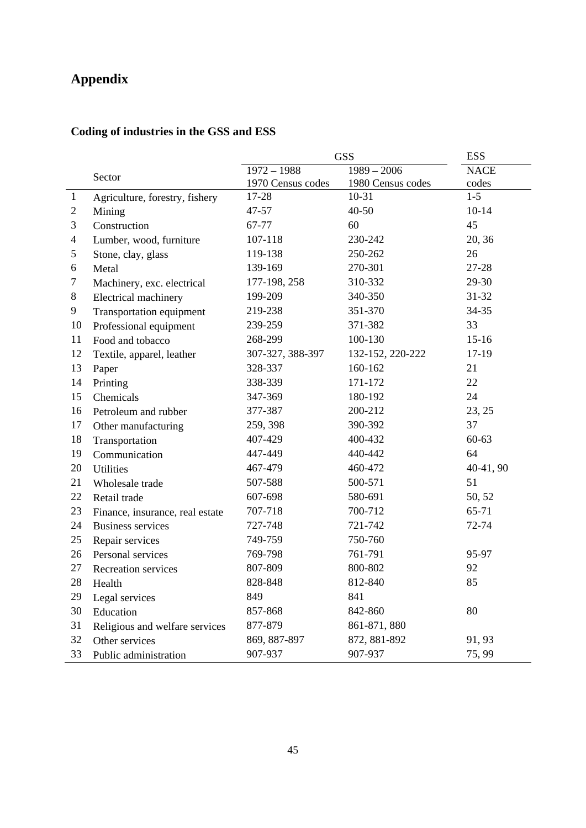# **Appendix**

# **Coding of industries in the GSS and ESS**

|                |                                 | <b>GSS</b>        | <b>ESS</b>        |             |
|----------------|---------------------------------|-------------------|-------------------|-------------|
|                | Sector                          | $1972 - 1988$     | $1989 - 2006$     | <b>NACE</b> |
|                |                                 | 1970 Census codes | 1980 Census codes | codes       |
| $\mathbf{1}$   | Agriculture, forestry, fishery  | 17-28             | $10-31$           | $1 - 5$     |
| $\overline{c}$ | Mining                          | 47-57             | 40-50             | $10 - 14$   |
| 3              | Construction                    | 67-77             | 60                | 45          |
| 4              | Lumber, wood, furniture         | 107-118           | 230-242           | 20, 36      |
| 5              | Stone, clay, glass              | 119-138           | 250-262           | 26          |
| 6              | Metal                           | 139-169           | 270-301           | 27-28       |
| 7              | Machinery, exc. electrical      | 177-198, 258      | 310-332           | 29-30       |
| 8              | Electrical machinery            | 199-209           | 340-350           | $31 - 32$   |
| 9              | <b>Transportation equipment</b> | 219-238           | 351-370           | 34-35       |
| 10             | Professional equipment          | 239-259           | 371-382           | 33          |
| 11             | Food and tobacco                | 268-299           | 100-130           | $15-16$     |
| 12             | Textile, apparel, leather       | 307-327, 388-397  | 132-152, 220-222  | 17-19       |
| 13             | Paper                           | 328-337           | 160-162           | 21          |
| 14             | Printing                        | 338-339           | 171-172           | 22          |
| 15             | Chemicals                       | 347-369           | 180-192           | 24          |
| 16             | Petroleum and rubber            | 377-387           | 200-212           | 23, 25      |
| 17             | Other manufacturing             | 259, 398          | 390-392           | 37          |
| 18             | Transportation                  | 407-429           | 400-432           | $60 - 63$   |
| 19             | Communication                   | 447-449           | 440-442           | 64          |
| 20             | <b>Utilities</b>                | 467-479           | 460-472           | $40-41, 90$ |
| 21             | Wholesale trade                 | 507-588           | 500-571           | 51          |
| 22             | Retail trade                    | 607-698           | 580-691           | 50, 52      |
| 23             | Finance, insurance, real estate | 707-718           | 700-712           | 65-71       |
| 24             | <b>Business services</b>        | 727-748           | 721-742           | 72-74       |
| 25             | Repair services                 | 749-759           | 750-760           |             |
| 26             | Personal services               | 769-798           | 761-791           | 95-97       |
| 27             | Recreation services             | 807-809           | 800-802           | 92          |
| 28             | Health                          | 828-848           | 812-840           | 85          |
| 29             | Legal services                  | 849               | 841               |             |
| 30             | Education                       | 857-868           | 842-860           | 80          |
| 31             | Religious and welfare services  | 877-879           | 861-871, 880      |             |
| 32             | Other services                  | 869, 887-897      | 872, 881-892      | 91, 93      |
| 33             | Public administration           | 907-937           | 907-937           | 75, 99      |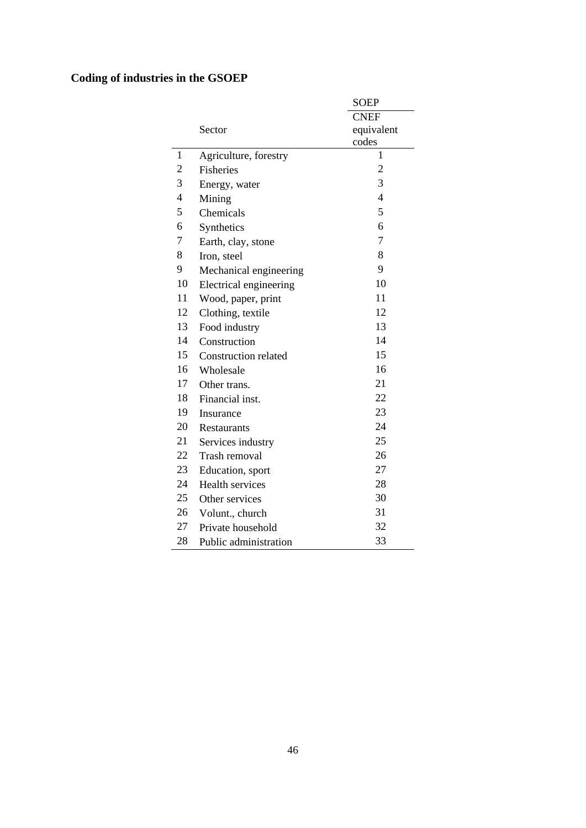# **Coding of industries in the GSOEP**

|                |                             | <b>SOEP</b>    |
|----------------|-----------------------------|----------------|
|                |                             | <b>CNEF</b>    |
|                | Sector                      | equivalent     |
|                |                             | codes          |
| 1              | Agriculture, forestry       | 1              |
| 2              | <b>Fisheries</b>            | $\overline{2}$ |
| 3              | Energy, water               | 3              |
| $\overline{4}$ | Mining                      | $\overline{4}$ |
| 5              | Chemicals                   | 5              |
| 6              | Synthetics                  | 6              |
| 7              | Earth, clay, stone          | $\overline{7}$ |
| 8              | Iron, steel                 | 8              |
| 9              | Mechanical engineering      | 9              |
| 10             | Electrical engineering      | 10             |
| 11             | Wood, paper, print          | 11             |
| 12             | Clothing, textile           | 12             |
| 13             | Food industry               | 13             |
| 14             | Construction                | 14             |
| 15             | <b>Construction related</b> | 15             |
| 16             | Wholesale                   | 16             |
| 17             | Other trans.                | 21             |
| 18             | Financial inst.             | 22             |
| 19             | Insurance                   | 23             |
| 20             | Restaurants                 | 24             |
| 21             | Services industry           | 25             |
| 22             | Trash removal               | 26             |
| 23             | Education, sport            | 27             |
| 24             | Health services             | 28             |
| 25             | Other services              | 30             |
| 26             | Volunt., church             | 31             |
| 27             | Private household           | 32             |
| 28             | Public administration       | 33             |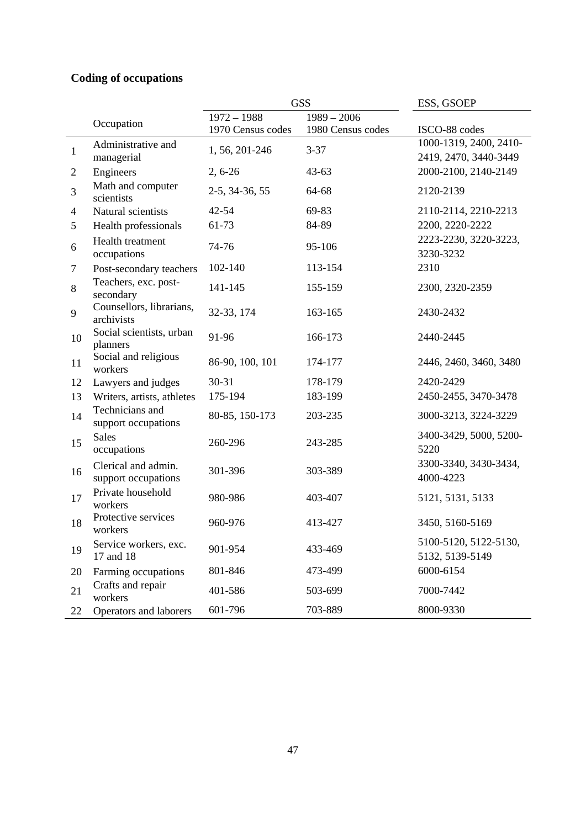# **Coding of occupations**

|              |                                            |                   | <b>GSS</b>        | ESS, GSOEP                                      |
|--------------|--------------------------------------------|-------------------|-------------------|-------------------------------------------------|
|              |                                            | $1972 - 1988$     | $1989 - 2006$     |                                                 |
|              | Occupation                                 | 1970 Census codes | 1980 Census codes | ISCO-88 codes                                   |
| $\mathbf{1}$ | Administrative and<br>managerial           | 1, 56, 201-246    | $3 - 37$          | 1000-1319, 2400, 2410-<br>2419, 2470, 3440-3449 |
| 2            | Engineers                                  | $2, 6-26$         | $43 - 63$         | 2000-2100, 2140-2149                            |
| 3            | Math and computer<br>scientists            | 2-5, 34-36, 55    | 64-68             | 2120-2139                                       |
| 4            | Natural scientists                         | $42 - 54$         | 69-83             | 2110-2114, 2210-2213                            |
| 5            | Health professionals                       | 61-73             | 84-89             | 2200, 2220-2222                                 |
| 6            | Health treatment<br>occupations            | 74-76             | 95-106            | 2223-2230, 3220-3223,<br>3230-3232              |
| 7            | Post-secondary teachers                    | 102-140           | 113-154           | 2310                                            |
| 8            | Teachers, exc. post-<br>secondary          | 141-145           | 155-159           | 2300, 2320-2359                                 |
| 9            | Counsellors, librarians,<br>archivists     | 32-33, 174        | 163-165           | 2430-2432                                       |
| 10           | Social scientists, urban<br>planners       | 91-96             | 166-173           | 2440-2445                                       |
| 11           | Social and religious<br>workers            | 86-90, 100, 101   | 174-177           | 2446, 2460, 3460, 3480                          |
| 12           | Lawyers and judges                         | $30 - 31$         | 178-179           | 2420-2429                                       |
| 13           | Writers, artists, athletes                 | 175-194           | 183-199           | 2450-2455, 3470-3478                            |
| 14           | Technicians and<br>support occupations     | 80-85, 150-173    | 203-235           | 3000-3213, 3224-3229                            |
| 15           | <b>Sales</b><br>occupations                | 260-296           | 243-285           | 3400-3429, 5000, 5200-<br>5220                  |
| 16           | Clerical and admin.<br>support occupations | 301-396           | 303-389           | 3300-3340, 3430-3434,<br>4000-4223              |
| 17           | Private household<br>workers               | 980-986           | 403-407           | 5121, 5131, 5133                                |
| 18           | Protective services<br>workers             | 960-976           | 413-427           | 3450, 5160-5169                                 |
| 19           | Service workers, exc.<br>17 and 18         | 901-954           | 433-469           | 5100-5120, 5122-5130,<br>5132, 5139-5149        |
| 20           | Farming occupations                        | 801-846           | 473-499           | 6000-6154                                       |
| 21           | Crafts and repair<br>workers               | 401-586           | 503-699           | 7000-7442                                       |
| 22           | Operators and laborers                     | 601-796           | 703-889           | 8000-9330                                       |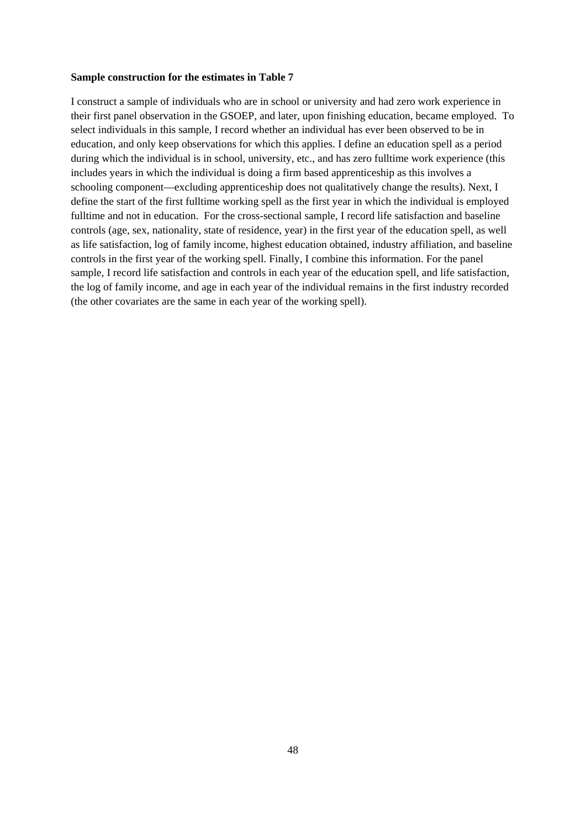### **Sample construction for the estimates in Table 7**

I construct a sample of individuals who are in school or university and had zero work experience in their first panel observation in the GSOEP, and later, upon finishing education, became employed. To select individuals in this sample, I record whether an individual has ever been observed to be in education, and only keep observations for which this applies. I define an education spell as a period during which the individual is in school, university, etc., and has zero fulltime work experience (this includes years in which the individual is doing a firm based apprenticeship as this involves a schooling component—excluding apprenticeship does not qualitatively change the results). Next, I define the start of the first fulltime working spell as the first year in which the individual is employed fulltime and not in education. For the cross-sectional sample, I record life satisfaction and baseline controls (age, sex, nationality, state of residence, year) in the first year of the education spell, as well as life satisfaction, log of family income, highest education obtained, industry affiliation, and baseline controls in the first year of the working spell. Finally, I combine this information. For the panel sample, I record life satisfaction and controls in each year of the education spell, and life satisfaction, the log of family income, and age in each year of the individual remains in the first industry recorded (the other covariates are the same in each year of the working spell).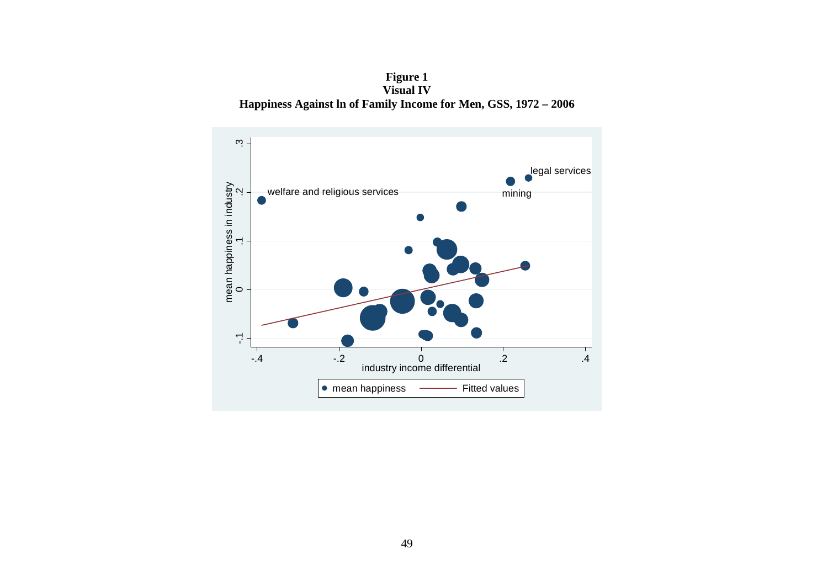**Figure 1 Visual IV Happiness Against ln of Family Income for Men, GSS, 1972 – 2006** 

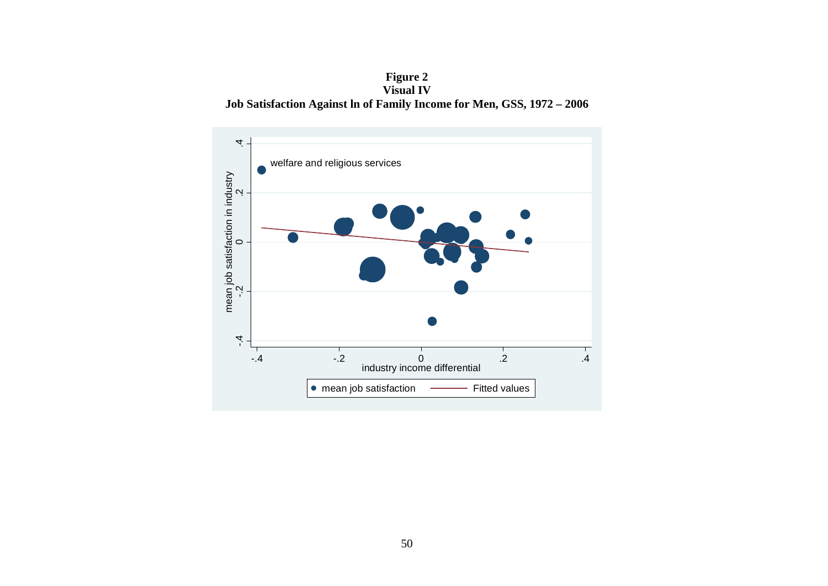**Figure 2 Visual IV Job Satisfaction Against ln of Family Income for Men, GSS, 1972 – 2006** 

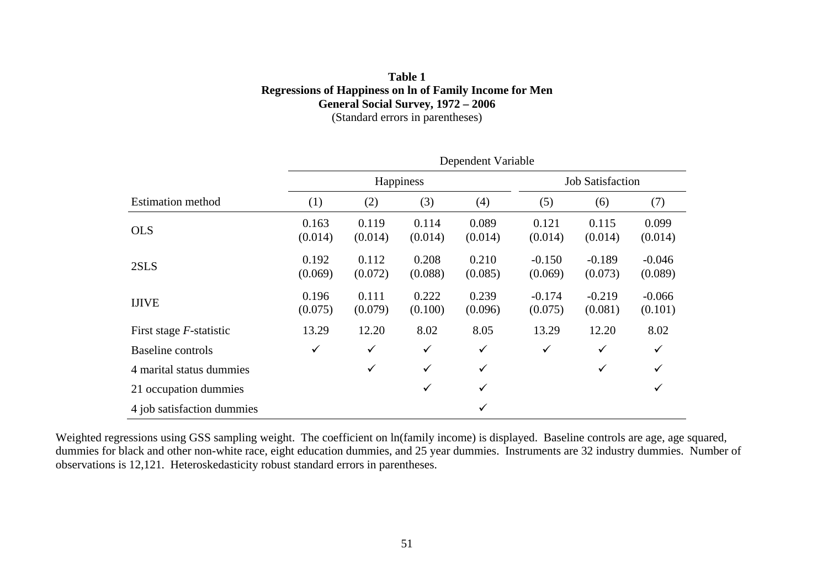## **Table 1 Regressions of Happiness on ln of Family Income for Men General Social Survey, 1972 – 2006**  (Standard errors in parentheses)

|                            | Dependent Variable |                  |                  |                         |                     |                     |                     |  |
|----------------------------|--------------------|------------------|------------------|-------------------------|---------------------|---------------------|---------------------|--|
|                            |                    |                  | Happiness        | <b>Job Satisfaction</b> |                     |                     |                     |  |
| <b>Estimation method</b>   | (1)                | (2)              | (3)              | (4)                     | (5)                 | (6)                 | (7)                 |  |
| <b>OLS</b>                 | 0.163<br>(0.014)   | 0.119<br>(0.014) | 0.114<br>(0.014) | 0.089<br>(0.014)        | 0.121<br>(0.014)    | 0.115<br>(0.014)    | 0.099<br>(0.014)    |  |
| 2SLS                       | 0.192<br>(0.069)   | 0.112<br>(0.072) | 0.208<br>(0.088) | 0.210<br>(0.085)        | $-0.150$<br>(0.069) | $-0.189$<br>(0.073) | $-0.046$<br>(0.089) |  |
| <b>IJIVE</b>               | 0.196<br>(0.075)   | 0.111<br>(0.079) | 0.222<br>(0.100) | 0.239<br>(0.096)        | $-0.174$<br>(0.075) | $-0.219$<br>(0.081) | $-0.066$<br>(0.101) |  |
| First stage $F$ -statistic | 13.29              | 12.20            | 8.02             | 8.05                    | 13.29               | 12.20               | 8.02                |  |
| Baseline controls          | $\checkmark$       | $\checkmark$     | $\checkmark$     | $\checkmark$            | $\checkmark$        | ✓                   | $\checkmark$        |  |
| 4 marital status dummies   |                    | ✓                | $\checkmark$     | $\checkmark$            |                     | ✓                   | $\checkmark$        |  |
| 21 occupation dummies      |                    |                  | $\checkmark$     | $\checkmark$            |                     |                     | ✓                   |  |
| 4 job satisfaction dummies |                    |                  |                  | ✓                       |                     |                     |                     |  |

Weighted regressions using GSS sampling weight. The coefficient on ln(family income) is displayed. Baseline controls are age, age squared, dummies for black and other non-white race, eight education dummies, and 25 year dummies. Instruments are 32 industry dummies. Number of observations is 12,121. Heteroskedasticity robust standard errors in parentheses.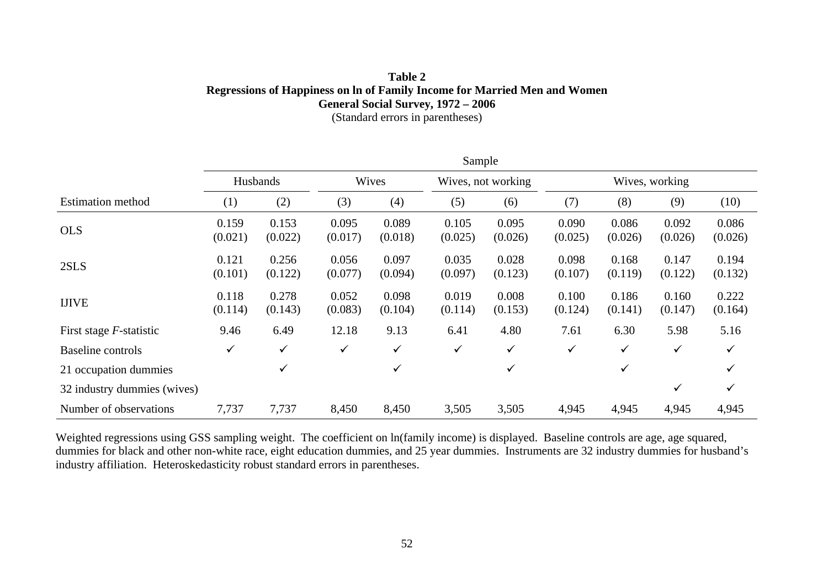## **Table 2 Regressions of Happiness on ln of Family Income for Married Men and Women General Social Survey, 1972 – 2006**  (Standard errors in parentheses)

|                                 |                  |                  |                  |                  | Sample           |                    |                  |                  |                  |                  |
|---------------------------------|------------------|------------------|------------------|------------------|------------------|--------------------|------------------|------------------|------------------|------------------|
|                                 |                  | Husbands         |                  | Wives            |                  | Wives, not working |                  |                  | Wives, working   |                  |
| <b>Estimation method</b>        | (1)              | (2)              | (3)              | (4)              | (5)              | (6)                | (7)              | (8)              | (9)              | (10)             |
| <b>OLS</b>                      | 0.159<br>(0.021) | 0.153<br>(0.022) | 0.095<br>(0.017) | 0.089<br>(0.018) | 0.105<br>(0.025) | 0.095<br>(0.026)   | 0.090<br>(0.025) | 0.086<br>(0.026) | 0.092<br>(0.026) | 0.086<br>(0.026) |
| 2SLS                            | 0.121<br>(0.101) | 0.256<br>(0.122) | 0.056<br>(0.077) | 0.097<br>(0.094) | 0.035<br>(0.097) | 0.028<br>(0.123)   | 0.098<br>(0.107) | 0.168<br>(0.119) | 0.147<br>(0.122) | 0.194<br>(0.132) |
| <b>IJIVE</b>                    | 0.118<br>(0.114) | 0.278<br>(0.143) | 0.052<br>(0.083) | 0.098<br>(0.104) | 0.019<br>(0.114) | 0.008<br>(0.153)   | 0.100<br>(0.124) | 0.186<br>(0.141) | 0.160<br>(0.147) | 0.222<br>(0.164) |
| First stage <i>F</i> -statistic | 9.46             | 6.49             | 12.18            | 9.13             | 6.41             | 4.80               | 7.61             | 6.30             | 5.98             | 5.16             |
| <b>Baseline controls</b>        | $\checkmark$     | $\checkmark$     | $\checkmark$     | $\checkmark$     | ✓                | $\checkmark$       | $\checkmark$     | $\checkmark$     | $\checkmark$     | $\checkmark$     |
| 21 occupation dummies           |                  | $\checkmark$     |                  | ✓                |                  | $\checkmark$       |                  | $\checkmark$     |                  | ✓                |
| 32 industry dummies (wives)     |                  |                  |                  |                  |                  |                    |                  |                  | ✓                | $\checkmark$     |
| Number of observations          | 7,737            | 7,737            | 8,450            | 8,450            | 3,505            | 3,505              | 4,945            | 4,945            | 4,945            | 4,945            |

Weighted regressions using GSS sampling weight. The coefficient on ln(family income) is displayed. Baseline controls are age, age squared, dummies for black and other non-white race, eight education dummies, and 25 year dummies. Instruments are 32 industry dummies for husband's industry affiliation. Heteroskedasticity robust standard errors in parentheses.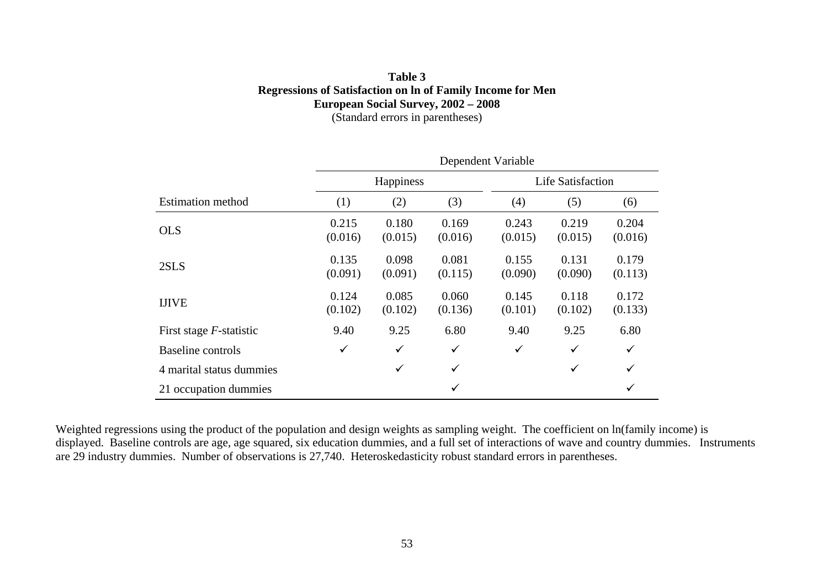## **Table 3 Regressions of Satisfaction on ln of Family Income for Men European Social Survey, 2002 – 2008**  (Standard errors in parentheses)

|                            | Dependent Variable |                  |                  |                  |                          |                  |  |  |
|----------------------------|--------------------|------------------|------------------|------------------|--------------------------|------------------|--|--|
|                            |                    | Happiness        |                  |                  | <b>Life Satisfaction</b> |                  |  |  |
| <b>Estimation method</b>   | (1)                | (2)              | (3)              | (4)              | (5)                      | (6)              |  |  |
| <b>OLS</b>                 | 0.215<br>(0.016)   | 0.180<br>(0.015) | 0.169<br>(0.016) | 0.243<br>(0.015) | 0.219<br>(0.015)         | 0.204<br>(0.016) |  |  |
| 2SLS                       | 0.135<br>(0.091)   | 0.098<br>(0.091) | 0.081<br>(0.115) | 0.155<br>(0.090) | 0.131<br>(0.090)         | 0.179<br>(0.113) |  |  |
| <b>IJIVE</b>               | 0.124<br>(0.102)   | 0.085<br>(0.102) | 0.060<br>(0.136) | 0.145<br>(0.101) | 0.118<br>(0.102)         | 0.172<br>(0.133) |  |  |
| First stage $F$ -statistic | 9.40               | 9.25             | 6.80             | 9.40             | 9.25                     | 6.80             |  |  |
| Baseline controls          | $\checkmark$       | $\checkmark$     | $\checkmark$     | $\checkmark$     | $\checkmark$             | $\checkmark$     |  |  |
| 4 marital status dummies   |                    | ✓                | ✓                |                  | $\checkmark$             | $\checkmark$     |  |  |
| 21 occupation dummies      |                    |                  | ✓                |                  |                          | ✓                |  |  |

Weighted regressions using the product of the population and design weights as sampling weight. The coefficient on ln(family income) is displayed. Baseline controls are age, age squared, six education dummies, and a full set of interactions of wave and country dummies. Instruments are 29 industry dummies. Number of observations is 27,740. Heteroskedasticity robust standard errors in parentheses.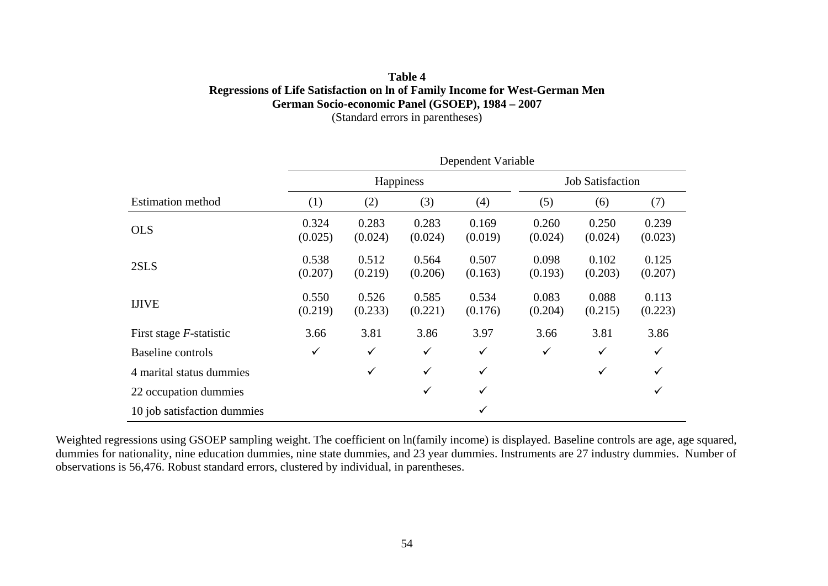## **Table 4 Regressions of Life Satisfaction on ln of Family Income for West-German Men German Socio-economic Panel (GSOEP), 1984 – 2007**  (Standard errors in parentheses)

|                             | Dependent Variable |                  |                  |                         |                  |                  |                  |  |
|-----------------------------|--------------------|------------------|------------------|-------------------------|------------------|------------------|------------------|--|
|                             |                    |                  | Happiness        | <b>Job Satisfaction</b> |                  |                  |                  |  |
| <b>Estimation method</b>    | (1)                | (2)              | (3)              | (4)                     | (5)              | (6)              | (7)              |  |
| <b>OLS</b>                  | 0.324<br>(0.025)   | 0.283<br>(0.024) | 0.283<br>(0.024) | 0.169<br>(0.019)        | 0.260<br>(0.024) | 0.250<br>(0.024) | 0.239<br>(0.023) |  |
| 2SLS                        | 0.538<br>(0.207)   | 0.512<br>(0.219) | 0.564<br>(0.206) | 0.507<br>(0.163)        | 0.098<br>(0.193) | 0.102<br>(0.203) | 0.125<br>(0.207) |  |
| <b>IJIVE</b>                | 0.550<br>(0.219)   | 0.526<br>(0.233) | 0.585<br>(0.221) | 0.534<br>(0.176)        | 0.083<br>(0.204) | 0.088<br>(0.215) | 0.113<br>(0.223) |  |
| First stage $F$ -statistic  | 3.66               | 3.81             | 3.86             | 3.97                    | 3.66             | 3.81             | 3.86             |  |
| Baseline controls           | $\checkmark$       | $\checkmark$     | $\checkmark$     | ✓                       | $\checkmark$     | $\checkmark$     | ✓                |  |
| 4 marital status dummies    |                    | ✓                | $\checkmark$     | $\checkmark$            |                  | $\checkmark$     | ✓                |  |
| 22 occupation dummies       |                    |                  | $\checkmark$     | $\checkmark$            |                  |                  | ✓                |  |
| 10 job satisfaction dummies |                    |                  |                  | $\checkmark$            |                  |                  |                  |  |

Weighted regressions using GSOEP sampling weight. The coefficient on ln(family income) is displayed. Baseline controls are age, age squared, dummies for nationality, nine education dummies, nine state dummies, and 23 year dummies. Instruments are 27 industry dummies. Number of observations is 56,476. Robust standard errors, clustered by individual, in parentheses.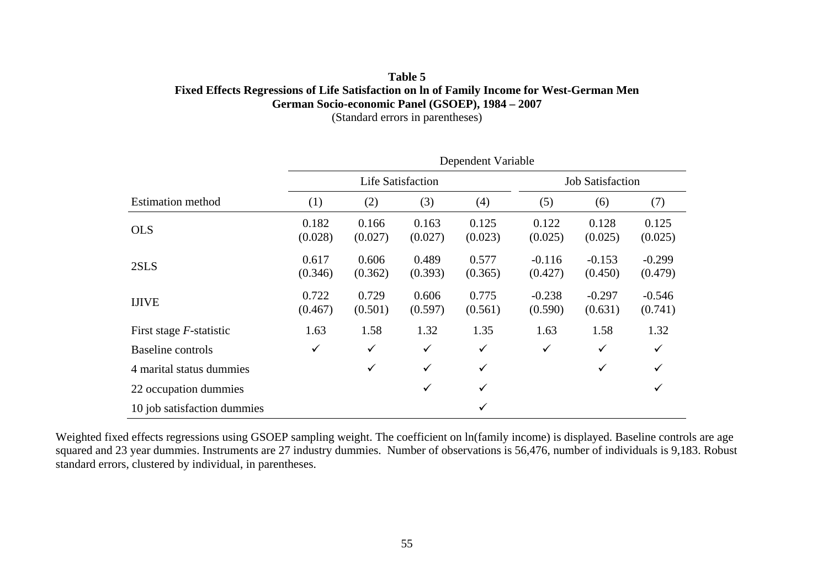## **Table 5 Fixed Effects Regressions of Life Satisfaction on ln of Family Income for West-German Men German Socio-economic Panel (GSOEP), 1984 – 2007**  (Standard errors in parentheses)

|                             | Dependent Variable |                  |                          |                         |                     |                     |                     |  |  |
|-----------------------------|--------------------|------------------|--------------------------|-------------------------|---------------------|---------------------|---------------------|--|--|
|                             |                    |                  | <b>Life Satisfaction</b> | <b>Job Satisfaction</b> |                     |                     |                     |  |  |
| <b>Estimation method</b>    | (1)                | (2)              | (3)                      | (4)                     | (5)                 | (6)                 | (7)                 |  |  |
| <b>OLS</b>                  | 0.182<br>(0.028)   | 0.166<br>(0.027) | 0.163<br>(0.027)         | 0.125<br>(0.023)        | 0.122<br>(0.025)    | 0.128<br>(0.025)    | 0.125<br>(0.025)    |  |  |
| 2SLS                        | 0.617<br>(0.346)   | 0.606<br>(0.362) | 0.489<br>(0.393)         | 0.577<br>(0.365)        | $-0.116$<br>(0.427) | $-0.153$<br>(0.450) | $-0.299$<br>(0.479) |  |  |
| <b>IJIVE</b>                | 0.722<br>(0.467)   | 0.729<br>(0.501) | 0.606<br>(0.597)         | 0.775<br>(0.561)        | $-0.238$<br>(0.590) | $-0.297$<br>(0.631) | $-0.546$<br>(0.741) |  |  |
| First stage $F$ -statistic  | 1.63               | 1.58             | 1.32                     | 1.35                    | 1.63                | 1.58                | 1.32                |  |  |
| Baseline controls           | $\checkmark$       | ✓                | $\checkmark$             | $\checkmark$            | $\checkmark$        | $\checkmark$        | $\checkmark$        |  |  |
| 4 marital status dummies    |                    | $\checkmark$     | $\checkmark$             | $\checkmark$            |                     | $\checkmark$        | $\checkmark$        |  |  |
| 22 occupation dummies       |                    |                  | ✓                        | $\checkmark$            |                     |                     | $\checkmark$        |  |  |
| 10 job satisfaction dummies |                    |                  |                          | ✓                       |                     |                     |                     |  |  |

Weighted fixed effects regressions using GSOEP sampling weight. The coefficient on ln(family income) is displayed. Baseline controls are age squared and 23 year dummies. Instruments are 27 industry dummies. Number of observations is 56,476, number of individuals is 9,183. Robust standard errors, clustered by individual, in parentheses.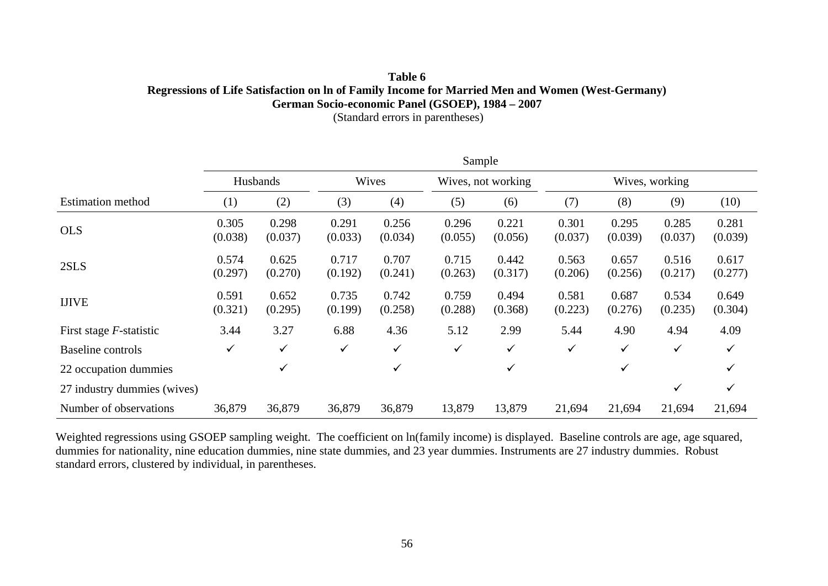## **Table 6 Regressions of Life Satisfaction on ln of Family Income for Married Men and Women (West-Germany) German Socio-economic Panel (GSOEP), 1984 – 2007**

(Standard errors in parentheses)

|                             |                  |                  |                  |                  | Sample           |                    |                  |                  |                  |                  |  |
|-----------------------------|------------------|------------------|------------------|------------------|------------------|--------------------|------------------|------------------|------------------|------------------|--|
|                             | Husbands         |                  |                  | Wives            |                  | Wives, not working |                  | Wives, working   |                  |                  |  |
| <b>Estimation method</b>    | (1)              | (2)              | (3)              | (4)              | (5)              | (6)                | (7)              | (8)              | (9)              | (10)             |  |
| <b>OLS</b>                  | 0.305<br>(0.038) | 0.298<br>(0.037) | 0.291<br>(0.033) | 0.256<br>(0.034) | 0.296<br>(0.055) | 0.221<br>(0.056)   | 0.301<br>(0.037) | 0.295<br>(0.039) | 0.285<br>(0.037) | 0.281<br>(0.039) |  |
| 2SLS                        | 0.574<br>(0.297) | 0.625<br>(0.270) | 0.717<br>(0.192) | 0.707<br>(0.241) | 0.715<br>(0.263) | 0.442<br>(0.317)   | 0.563<br>(0.206) | 0.657<br>(0.256) | 0.516<br>(0.217) | 0.617<br>(0.277) |  |
| <b>IJIVE</b>                | 0.591<br>(0.321) | 0.652<br>(0.295) | 0.735<br>(0.199) | 0.742<br>(0.258) | 0.759<br>(0.288) | 0.494<br>(0.368)   | 0.581<br>(0.223) | 0.687<br>(0.276) | 0.534<br>(0.235) | 0.649<br>(0.304) |  |
| First stage $F$ -statistic  | 3.44             | 3.27             | 6.88             | 4.36             | 5.12             | 2.99               | 5.44             | 4.90             | 4.94             | 4.09             |  |
| <b>Baseline</b> controls    | ✓                | $\checkmark$     | $\checkmark$     | $\checkmark$     | $\checkmark$     | ✓                  | ✓                | ✓                | ✓                | ✓                |  |
| 22 occupation dummies       |                  | $\checkmark$     |                  | ✓                |                  | ✓                  |                  | ✓                |                  |                  |  |
| 27 industry dummies (wives) |                  |                  |                  |                  |                  |                    |                  |                  | ✓                | $\checkmark$     |  |
| Number of observations      | 36,879           | 36,879           | 36,879           | 36,879           | 13,879           | 13,879             | 21,694           | 21,694           | 21,694           | 21,694           |  |

Weighted regressions using GSOEP sampling weight. The coefficient on ln(family income) is displayed. Baseline controls are age, age squared, dummies for nationality, nine education dummies, nine state dummies, and 23 year dummies. Instruments are 27 industry dummies. Robust standard errors, clustered by individual, in parentheses.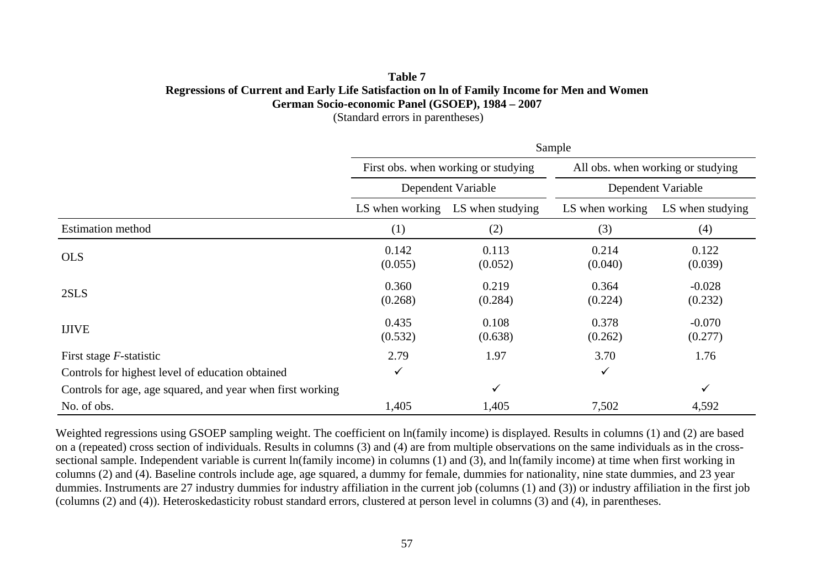# **Table 7 Regressions of Current and Early Life Satisfaction on ln of Family Income for Men and Women German Socio-economic Panel (GSOEP), 1984 – 2007**

(Standard errors in parentheses)

|                                                            |                  |                                     | Sample             |                                   |  |
|------------------------------------------------------------|------------------|-------------------------------------|--------------------|-----------------------------------|--|
|                                                            |                  | First obs. when working or studying |                    | All obs. when working or studying |  |
|                                                            |                  | Dependent Variable                  | Dependent Variable |                                   |  |
|                                                            | LS when working  | LS when studying                    | LS when working    | LS when studying                  |  |
| <b>Estimation method</b>                                   | (1)              | (2)                                 | (3)                | (4)                               |  |
| <b>OLS</b>                                                 | 0.142<br>(0.055) | 0.113<br>(0.052)                    | 0.214<br>(0.040)   | 0.122<br>(0.039)                  |  |
| 2SLS                                                       | 0.360<br>(0.268) | 0.219<br>(0.284)                    | 0.364<br>(0.224)   | $-0.028$<br>(0.232)               |  |
| <b>IJIVE</b>                                               | 0.435<br>(0.532) | 0.108<br>(0.638)                    | 0.378<br>(0.262)   | $-0.070$<br>(0.277)               |  |
| First stage $F$ -statistic                                 | 2.79             | 1.97                                | 3.70               | 1.76                              |  |
| Controls for highest level of education obtained           | ✓                |                                     | $\checkmark$       |                                   |  |
| Controls for age, age squared, and year when first working |                  | ✓                                   |                    | $\checkmark$                      |  |
| No. of obs.                                                | 1,405            | 1,405                               | 7,502              | 4,592                             |  |

Weighted regressions using GSOEP sampling weight. The coefficient on ln(family income) is displayed. Results in columns (1) and (2) are based on a (repeated) cross section of individuals. Results in columns (3) and (4) are from multiple observations on the same individuals as in the crosssectional sample. Independent variable is current ln(family income) in columns (1) and (3), and ln(family income) at time when first working in columns (2) and (4). Baseline controls include age, age squared, a dummy for female, dummies for nationality, nine state dummies, and 23 year dummies. Instruments are 27 industry dummies for industry affiliation in the current job (columns (1) and (3)) or industry affiliation in the first job (columns (2) and (4)). Heteroskedasticity robust standard errors, clustered at person level in columns (3) and (4), in parentheses.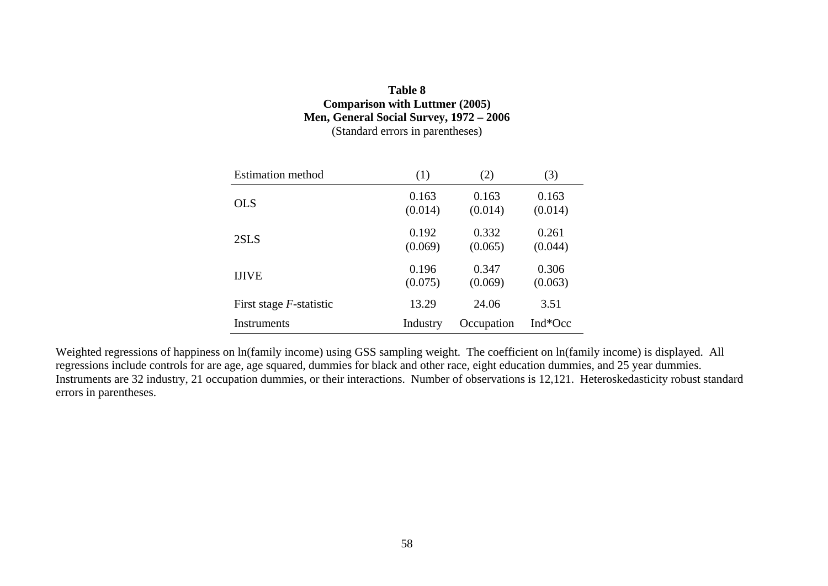## **Table 8 Comparison with Luttmer (2005) Men, General Social Survey, 1972 – 2006**  (Standard errors in parentheses)

| <b>Estimation method</b>   | (1)      | (2)        | (3)     |
|----------------------------|----------|------------|---------|
| <b>OLS</b>                 | 0.163    | 0.163      | 0.163   |
|                            | (0.014)  | (0.014)    | (0.014) |
| 2SLS                       | 0.192    | 0.332      | 0.261   |
|                            | (0.069)  | (0.065)    | (0.044) |
| <b>IJIVE</b>               | 0.196    | 0.347      | 0.306   |
|                            | (0.075)  | (0.069)    | (0.063) |
| First stage $F$ -statistic | 13.29    | 24.06      | 3.51    |
| Instruments                | Industry | Occupation | Ind*Occ |

Weighted regressions of happiness on ln(family income) using GSS sampling weight. The coefficient on ln(family income) is displayed. All regressions include controls for are age, age squared, dummies for black and other race, eight education dummies, and 25 year dummies. Instruments are 32 industry, 21 occupation dummies, or their interactions. Number of observations is 12,121. Heteroskedasticity robust standard errors in parentheses.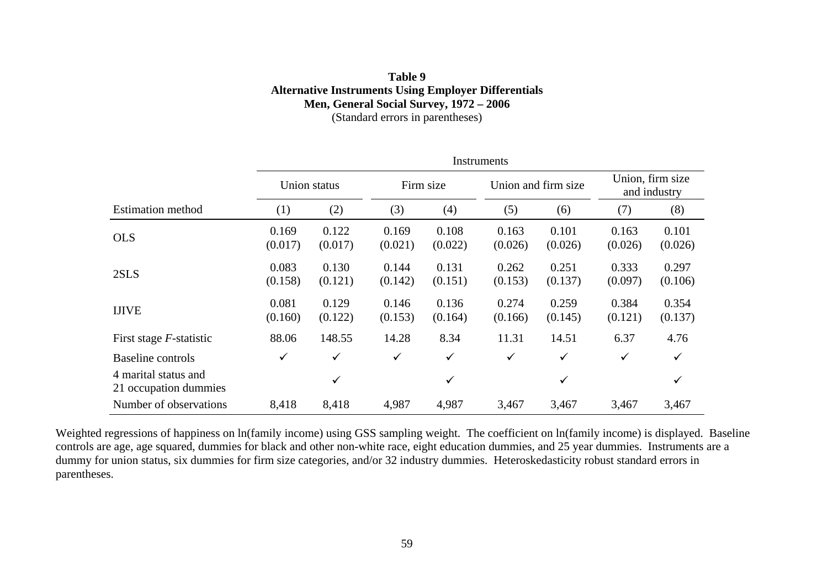## **Table 9 Alternative Instruments Using Employer Differentials Men, General Social Survey, 1972 – 2006**  (Standard errors in parentheses)

|                                               | Instruments      |                  |                  |                  |                  |                     |                  |                                  |  |
|-----------------------------------------------|------------------|------------------|------------------|------------------|------------------|---------------------|------------------|----------------------------------|--|
|                                               | Union status     |                  |                  | Firm size        |                  | Union and firm size |                  | Union, firm size<br>and industry |  |
| <b>Estimation method</b>                      | (1)              | (2)              | (3)              | (4)              | (5)              | (6)                 | (7)              | (8)                              |  |
| <b>OLS</b>                                    | 0.169<br>(0.017) | 0.122<br>(0.017) | 0.169<br>(0.021) | 0.108<br>(0.022) | 0.163<br>(0.026) | 0.101<br>(0.026)    | 0.163<br>(0.026) | 0.101<br>(0.026)                 |  |
| 2SLS                                          | 0.083<br>(0.158) | 0.130<br>(0.121) | 0.144<br>(0.142) | 0.131<br>(0.151) | 0.262<br>(0.153) | 0.251<br>(0.137)    | 0.333<br>(0.097) | 0.297<br>(0.106)                 |  |
| <b>IJIVE</b>                                  | 0.081<br>(0.160) | 0.129<br>(0.122) | 0.146<br>(0.153) | 0.136<br>(0.164) | 0.274<br>(0.166) | 0.259<br>(0.145)    | 0.384<br>(0.121) | 0.354<br>(0.137)                 |  |
| First stage $F$ -statistic                    | 88.06            | 148.55           | 14.28            | 8.34             | 11.31            | 14.51               | 6.37             | 4.76                             |  |
| Baseline controls                             | $\checkmark$     | $\checkmark$     | $\checkmark$     | $\checkmark$     | $\checkmark$     | $\checkmark$        | $\checkmark$     | ✓                                |  |
| 4 marital status and<br>21 occupation dummies |                  | ✓                |                  | ✓                |                  | $\checkmark$        |                  | ✓                                |  |
| Number of observations                        | 8,418            | 8,418            | 4,987            | 4,987            | 3,467            | 3,467               | 3,467            | 3,467                            |  |

Weighted regressions of happiness on ln(family income) using GSS sampling weight. The coefficient on ln(family income) is displayed. Baseline controls are age, age squared, dummies for black and other non-white race, eight education dummies, and 25 year dummies. Instruments are a dummy for union status, six dummies for firm size categories, and/or 32 industry dummies. Heteroskedasticity robust standard errors in parentheses.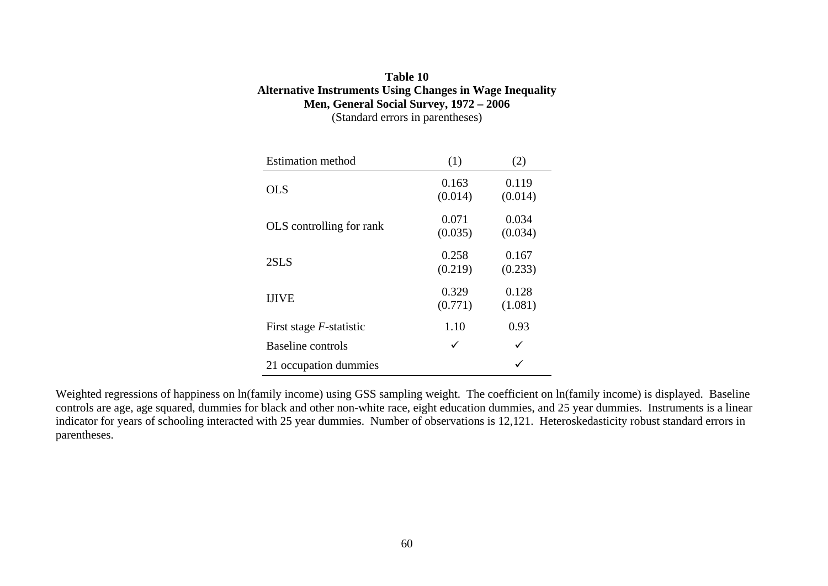## **Table 10 Alternative Instruments Using Changes in Wage Inequality Men, General Social Survey, 1972 – 2006**  (Standard errors in parentheses)

| <b>Estimation method</b>   | (1)              | (2)              |
|----------------------------|------------------|------------------|
| <b>OLS</b>                 | 0.163<br>(0.014) | 0.119<br>(0.014) |
| OLS controlling for rank   | 0.071<br>(0.035) | 0.034<br>(0.034) |
| 2SLS                       | 0.258<br>(0.219) | 0.167<br>(0.233) |
| <b>IJIVE</b>               | 0.329<br>(0.771) | 0.128<br>(1.081) |
| First stage $F$ -statistic | 1.10             | 0.93             |
| Baseline controls          | ✓                | ✓                |
| 21 occupation dummies      |                  |                  |

Weighted regressions of happiness on ln(family income) using GSS sampling weight. The coefficient on ln(family income) is displayed. Baseline controls are age, age squared, dummies for black and other non-white race, eight education dummies, and 25 year dummies. Instruments is a linear indicator for years of schooling interacted with 25 year dummies. Number of observations is 12,121. Heteroskedasticity robust standard errors in parentheses.